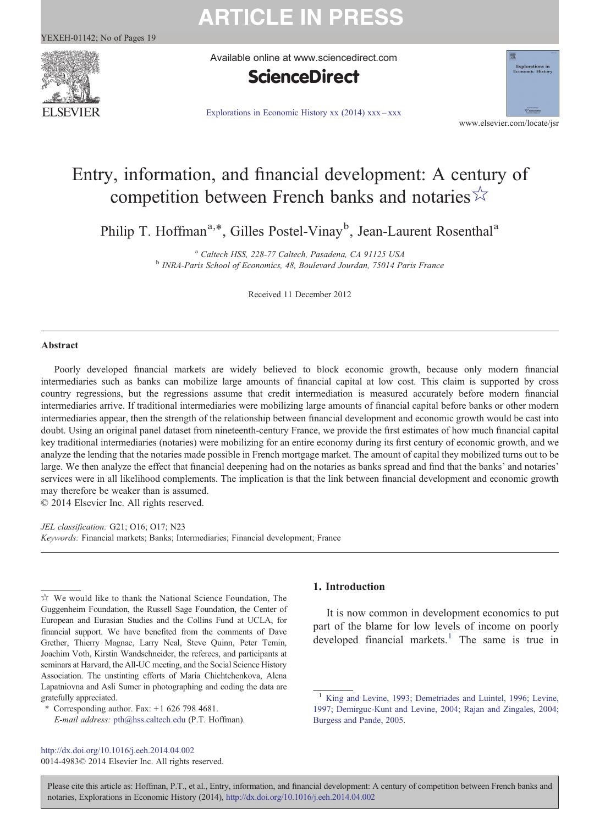

Available online at www.sciencedirect.com

**ARTICLE IN PRESS** 



Explorations in Economic History xx  $(2014)$  xxx–xxx

Explorations in<br>Economic Histor

www.elsevier.com/locate/jsr

### Entry, information, and financial development: A century of competition between French banks and notaries☆

Philip T. Hoffman<sup>a,\*</sup>, Gilles Postel-Vinay<sup>b</sup>, Jean-Laurent Rosenthal<sup>a</sup>

<sup>a</sup> Caltech HSS, 228-77 Caltech, Pasadena, CA 91125 USA<br><sup>b</sup> INRA-Paris School of Economics, 48, Boulevard Jourdan, 75014 Paris France

Received 11 December 2012

#### Abstract

Poorly developed financial markets are widely believed to block economic growth, because only modern financial intermediaries such as banks can mobilize large amounts of financial capital at low cost. This claim is supported by cross country regressions, but the regressions assume that credit intermediation is measured accurately before modern financial intermediaries arrive. If traditional intermediaries were mobilizing large amounts of financial capital before banks or other modern intermediaries appear, then the strength of the relationship between financial development and economic growth would be cast into doubt. Using an original panel dataset from nineteenth-century France, we provide the first estimates of how much financial capital key traditional intermediaries (notaries) were mobilizing for an entire economy during its first century of economic growth, and we analyze the lending that the notaries made possible in French mortgage market. The amount of capital they mobilized turns out to be large. We then analyze the effect that financial deepening had on the notaries as banks spread and find that the banks' and notaries' services were in all likelihood complements. The implication is that the link between financial development and economic growth may therefore be weaker than is assumed.

© 2014 Elsevier Inc. All rights reserved.

JEL classification: G21; O16; O17; N23 Keywords: Financial markets; Banks; Intermediaries; Financial development; France

1. Introduction

It is now common in development economics to put part of the blame for low levels of income on poorly developed financial markets.<sup>1</sup> The same is true in

<http://dx.doi.org/10.1016/j.eeh.2014.04.002> 0014-4983© 2014 Elsevier Inc. All rights reserved.

<sup>☆</sup> We would like to thank the National Science Foundation, The Guggenheim Foundation, the Russell Sage Foundation, the Center of European and Eurasian Studies and the Collins Fund at UCLA, for financial support. We have benefited from the comments of Dave Grether, Thierry Magnac, Larry Neal, Steve Quinn, Peter Temin, Joachim Voth, Kirstin Wandschneider, the referees, and participants at seminars at Harvard, the All-UC meeting, and the Social Science History Association. The unstinting efforts of Maria Chichtchenkova, Alena Lapatniovna and Asli Sumer in photographing and coding the data are gratefully appreciated.

<sup>\*</sup> Corresponding author. Fax:  $+1$  626 798 4681. E-mail address: [pth@hss.caltech.edu](mailto:) (P.T. Hoffman).

[King and Levine, 1993; Demetriades and Luintel, 1996; Levine,](#page-17-0) [1997; Demirguc-Kunt and Levine, 2004; Rajan and Zingales, 2004;](#page-17-0) [Burgess and Pande, 2005](#page-17-0).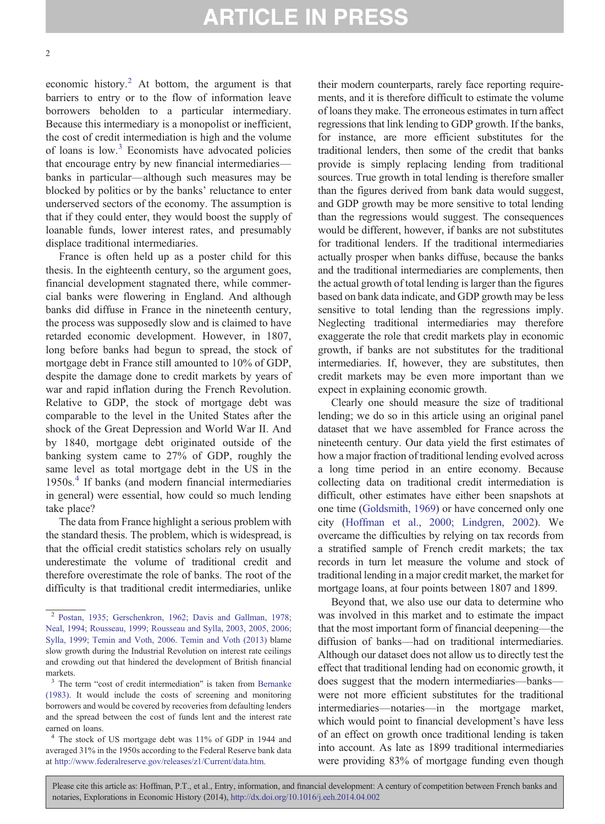#### 2

### **ARTICLE IN PRESS**

economic history. $^{2}$  At bottom, the argument is that barriers to entry or to the flow of information leave borrowers beholden to a particular intermediary. Because this intermediary is a monopolist or inefficient, the cost of credit intermediation is high and the volume of loans is low.<sup>3</sup> Economists have advocated policies that encourage entry by new financial intermediaries banks in particular—although such measures may be blocked by politics or by the banks' reluctance to enter underserved sectors of the economy. The assumption is that if they could enter, they would boost the supply of loanable funds, lower interest rates, and presumably displace traditional intermediaries.

France is often held up as a poster child for this thesis. In the eighteenth century, so the argument goes, financial development stagnated there, while commercial banks were flowering in England. And although banks did diffuse in France in the nineteenth century, the process was supposedly slow and is claimed to have retarded economic development. However, in 1807, long before banks had begun to spread, the stock of mortgage debt in France still amounted to 10% of GDP, despite the damage done to credit markets by years of war and rapid inflation during the French Revolution. Relative to GDP, the stock of mortgage debt was comparable to the level in the United States after the shock of the Great Depression and World War II. And by 1840, mortgage debt originated outside of the banking system came to 27% of GDP, roughly the same level as total mortgage debt in the US in the 1950s.<sup>4</sup> If banks (and modern financial intermediaries in general) were essential, how could so much lending take place?

The data from France highlight a serious problem with the standard thesis. The problem, which is widespread, is that the official credit statistics scholars rely on usually underestimate the volume of traditional credit and therefore overestimate the role of banks. The root of the difficulty is that traditional credit intermediaries, unlike

their modern counterparts, rarely face reporting requirements, and it is therefore difficult to estimate the volume of loans they make. The erroneous estimates in turn affect regressions that link lending to GDP growth. If the banks, for instance, are more efficient substitutes for the traditional lenders, then some of the credit that banks provide is simply replacing lending from traditional sources. True growth in total lending is therefore smaller than the figures derived from bank data would suggest, and GDP growth may be more sensitive to total lending than the regressions would suggest. The consequences would be different, however, if banks are not substitutes for traditional lenders. If the traditional intermediaries actually prosper when banks diffuse, because the banks and the traditional intermediaries are complements, then the actual growth of total lending is larger than the figures based on bank data indicate, and GDP growth may be less sensitive to total lending than the regressions imply. Neglecting traditional intermediaries may therefore exaggerate the role that credit markets play in economic growth, if banks are not substitutes for the traditional intermediaries. If, however, they are substitutes, then credit markets may be even more important than we expect in explaining economic growth.

Clearly one should measure the size of traditional lending; we do so in this article using an original panel dataset that we have assembled for France across the nineteenth century. Our data yield the first estimates of how a major fraction of traditional lending evolved across a long time period in an entire economy. Because collecting data on traditional credit intermediation is difficult, other estimates have either been snapshots at one time [\(Goldsmith, 1969](#page-17-0)) or have concerned only one city [\(Hoffman et al., 2000; Lindgren, 2002\)](#page-17-0). We overcame the difficulties by relying on tax records from a stratified sample of French credit markets; the tax records in turn let measure the volume and stock of traditional lending in a major credit market, the market for mortgage loans, at four points between 1807 and 1899.

Beyond that, we also use our data to determine who was involved in this market and to estimate the impact that the most important form of financial deepening—the diffusion of banks—had on traditional intermediaries. Although our dataset does not allow us to directly test the effect that traditional lending had on economic growth, it does suggest that the modern intermediaries—banks were not more efficient substitutes for the traditional intermediaries—notaries—in the mortgage market, which would point to financial development's have less of an effect on growth once traditional lending is taken into account. As late as 1899 traditional intermediaries were providing 83% of mortgage funding even though

<sup>2</sup> [Postan, 1935; Gerschenkron, 1962; Davis and Gallman, 1978;](#page-18-0) [Neal, 1994; Rousseau, 1999; Rousseau and Sylla, 2003, 2005, 2006;](#page-18-0) [Sylla, 1999; Temin and Voth, 2006.](#page-18-0) [Temin and Voth \(2013\)](#page-18-0) blame slow growth during the Industrial Revolution on interest rate ceilings and crowding out that hindered the development of British financial markets.

<sup>&</sup>lt;sup>3</sup> The term "cost of credit intermediation" is taken from [Bernanke](#page-17-0) [\(1983\)](#page-17-0). It would include the costs of screening and monitoring borrowers and would be covered by recoveries from defaulting lenders and the spread between the cost of funds lent and the interest rate earned on loans.

<sup>4</sup> The stock of US mortgage debt was 11% of GDP in 1944 and averaged 31% in the 1950s according to the Federal Reserve bank data at <http://www.federalreserve.gov/releases/z1/Current/data.htm>.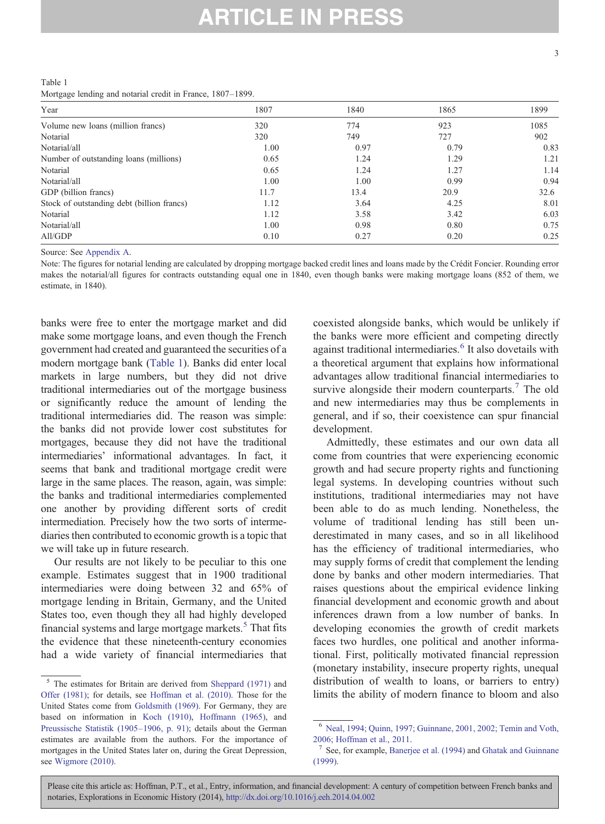### <span id="page-2-0"></span>Table 1

Mortgage lending and notarial credit in France, 1807–1899.

| Year                                       | 1807 | 1840 | 1865 | 1899 |
|--------------------------------------------|------|------|------|------|
| Volume new loans (million francs)          | 320  | 774  | 923  | 1085 |
| Notarial                                   | 320  | 749  | 727  | 902  |
| Notarial/all                               | 1.00 | 0.97 | 0.79 | 0.83 |
| Number of outstanding loans (millions)     | 0.65 | 1.24 | 1.29 | 1.21 |
| Notarial                                   | 0.65 | 1.24 | 1.27 | 1.14 |
| Notarial/all                               | 1.00 | 1.00 | 0.99 | 0.94 |
| GDP (billion francs)                       | 11.7 | 13.4 | 20.9 | 32.6 |
| Stock of outstanding debt (billion francs) | 1.12 | 3.64 | 4.25 | 8.01 |
| Notarial                                   | 1.12 | 3.58 | 3.42 | 6.03 |
| Notarial/all                               | 1.00 | 0.98 | 0.80 | 0.75 |
| All/GDP                                    | 0.10 | 0.27 | 0.20 | 0.25 |

Source: See [Appendix A](#page-16-0).

Note: The figures for notarial lending are calculated by dropping mortgage backed credit lines and loans made by the Crédit Foncier. Rounding error makes the notarial/all figures for contracts outstanding equal one in 1840, even though banks were making mortgage loans (852 of them, we estimate, in 1840).

banks were free to enter the mortgage market and did make some mortgage loans, and even though the French government had created and guaranteed the securities of a modern mortgage bank (Table 1). Banks did enter local markets in large numbers, but they did not drive traditional intermediaries out of the mortgage business or significantly reduce the amount of lending the traditional intermediaries did. The reason was simple: the banks did not provide lower cost substitutes for mortgages, because they did not have the traditional intermediaries' informational advantages. In fact, it seems that bank and traditional mortgage credit were large in the same places. The reason, again, was simple: the banks and traditional intermediaries complemented one another by providing different sorts of credit intermediation. Precisely how the two sorts of intermediaries then contributed to economic growth is a topic that we will take up in future research.

Our results are not likely to be peculiar to this one example. Estimates suggest that in 1900 traditional intermediaries were doing between 32 and 65% of mortgage lending in Britain, Germany, and the United States too, even though they all had highly developed financial systems and large mortgage markets. $5$  That fits the evidence that these nineteenth-century economies had a wide variety of financial intermediaries that

coexisted alongside banks, which would be unlikely if the banks were more efficient and competing directly against traditional intermediaries.<sup>6</sup> It also dovetails with a theoretical argument that explains how informational advantages allow traditional financial intermediaries to survive alongside their modern counterparts.<sup>7</sup> The old and new intermediaries may thus be complements in general, and if so, their coexistence can spur financial development.

Admittedly, these estimates and our own data all come from countries that were experiencing economic growth and had secure property rights and functioning legal systems. In developing countries without such institutions, traditional intermediaries may not have been able to do as much lending. Nonetheless, the volume of traditional lending has still been underestimated in many cases, and so in all likelihood has the efficiency of traditional intermediaries, who may supply forms of credit that complement the lending done by banks and other modern intermediaries. That raises questions about the empirical evidence linking financial development and economic growth and about inferences drawn from a low number of banks. In developing economies the growth of credit markets faces two hurdles, one political and another informational. First, politically motivated financial repression (monetary instability, insecure property rights, unequal distribution of wealth to loans, or barriers to entry) limits the ability of modern finance to bloom and also

3

 $5$  The estimates for Britain are derived from [Sheppard \(1971\)](#page-18-0) and [Offer \(1981\)](#page-17-0); for details, see [Hoffman et al. \(2010\).](#page-17-0) Those for the United States come from [Goldsmith \(1969\).](#page-17-0) For Germany, they are based on information in [Koch \(1910\)](#page-17-0), [Hoffmann \(1965\),](#page-17-0) and [Preussische Statistik \(1905](#page-18-0)–1906, p. 91); details about the German estimates are available from the authors. For the importance of mortgages in the United States later on, during the Great Depression, see [Wigmore \(2010\)](#page-18-0).

<sup>6</sup> [Neal, 1994; Quinn, 1997; Guinnane, 2001, 2002; Temin and Voth,](#page-17-0) [2006; Hoffman et al., 2011](#page-17-0).<br><sup>7</sup> See, for example, [Banerjee et al. \(1994\)](#page-17-0) and [Ghatak and Guinnane](#page-17-0)

[<sup>\(1999\).</sup>](#page-17-0)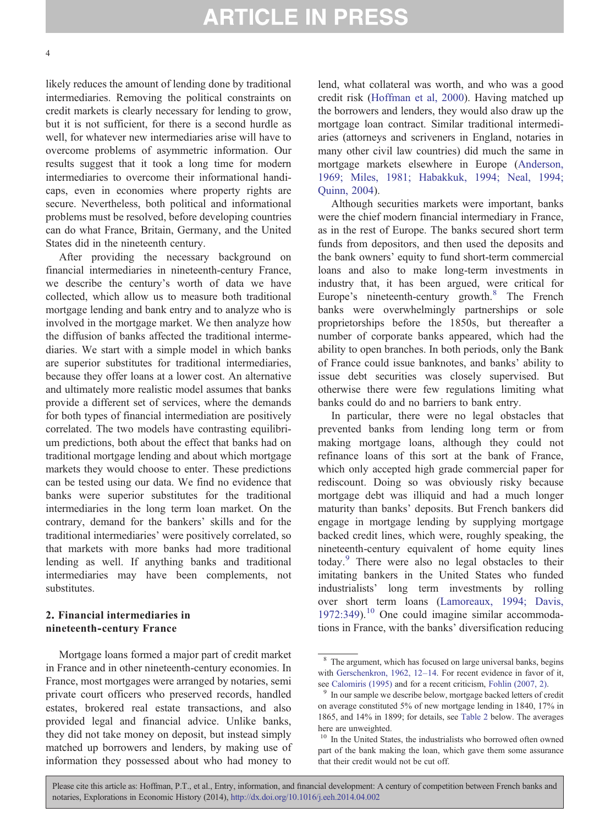likely reduces the amount of lending done by traditional intermediaries. Removing the political constraints on credit markets is clearly necessary for lending to grow, but it is not sufficient, for there is a second hurdle as well, for whatever new intermediaries arise will have to overcome problems of asymmetric information. Our results suggest that it took a long time for modern intermediaries to overcome their informational handicaps, even in economies where property rights are secure. Nevertheless, both political and informational problems must be resolved, before developing countries can do what France, Britain, Germany, and the United States did in the nineteenth century.

After providing the necessary background on financial intermediaries in nineteenth-century France, we describe the century's worth of data we have collected, which allow us to measure both traditional mortgage lending and bank entry and to analyze who is involved in the mortgage market. We then analyze how the diffusion of banks affected the traditional intermediaries. We start with a simple model in which banks are superior substitutes for traditional intermediaries, because they offer loans at a lower cost. An alternative and ultimately more realistic model assumes that banks provide a different set of services, where the demands for both types of financial intermediation are positively correlated. The two models have contrasting equilibrium predictions, both about the effect that banks had on traditional mortgage lending and about which mortgage markets they would choose to enter. These predictions can be tested using our data. We find no evidence that banks were superior substitutes for the traditional intermediaries in the long term loan market. On the contrary, demand for the bankers' skills and for the traditional intermediaries' were positively correlated, so that markets with more banks had more traditional lending as well. If anything banks and traditional intermediaries may have been complements, not substitutes.

### 2. Financial intermediaries in nineteenth-century France

Mortgage loans formed a major part of credit market in France and in other nineteenth-century economies. In France, most mortgages were arranged by notaries, semi private court officers who preserved records, handled estates, brokered real estate transactions, and also provided legal and financial advice. Unlike banks, they did not take money on deposit, but instead simply matched up borrowers and lenders, by making use of information they possessed about who had money to

lend, what collateral was worth, and who was a good credit risk [\(Hoffman et al, 2000\)](#page-17-0). Having matched up the borrowers and lenders, they would also draw up the mortgage loan contract. Similar traditional intermediaries (attorneys and scriveners in England, notaries in many other civil law countries) did much the same in mortgage markets elsewhere in Europe [\(Anderson,](#page-17-0) [1969; Miles, 1981; Habakkuk, 1994; Neal, 1994;](#page-17-0) [Quinn, 2004\)](#page-17-0).

Although securities markets were important, banks were the chief modern financial intermediary in France, as in the rest of Europe. The banks secured short term funds from depositors, and then used the deposits and the bank owners' equity to fund short-term commercial loans and also to make long-term investments in industry that, it has been argued, were critical for Europe's nineteenth-century growth.<sup>8</sup> The French banks were overwhelmingly partnerships or sole proprietorships before the 1850s, but thereafter a number of corporate banks appeared, which had the ability to open branches. In both periods, only the Bank of France could issue banknotes, and banks' ability to issue debt securities was closely supervised. But otherwise there were few regulations limiting what banks could do and no barriers to bank entry.

In particular, there were no legal obstacles that prevented banks from lending long term or from making mortgage loans, although they could not refinance loans of this sort at the bank of France, which only accepted high grade commercial paper for rediscount. Doing so was obviously risky because mortgage debt was illiquid and had a much longer maturity than banks' deposits. But French bankers did engage in mortgage lending by supplying mortgage backed credit lines, which were, roughly speaking, the nineteenth-century equivalent of home equity lines today.<sup>9</sup> There were also no legal obstacles to their imitating bankers in the United States who funded industrialists' long term investments by rolling over short term loans [\(Lamoreaux, 1994; Davis,](#page-17-0)  $1972:349$ .<sup>10</sup> One could imagine similar accommodations in France, with the banks' diversification reducing

<sup>&</sup>lt;sup>8</sup> The argument, which has focused on large universal banks, begins with [Gerschenkron, 1962, 12](#page-17-0)–14. For recent evidence in favor of it,

see [Calomiris \(1995\)](#page-17-0) and for a recent criticism, [Fohlin \(2007, 2\)](#page-17-0).<br><sup>9</sup> In our sample we describe below, mortgage backed letters of credit on average constituted 5% of new mortgage lending in 1840, 17% in 1865, and 14% in 1899; for details, see [Table 2](#page-6-0) below. The averages here are unweighted.

<sup>&</sup>lt;sup>10</sup> In the United States, the industrialists who borrowed often owned part of the bank making the loan, which gave them some assurance that their credit would not be cut off.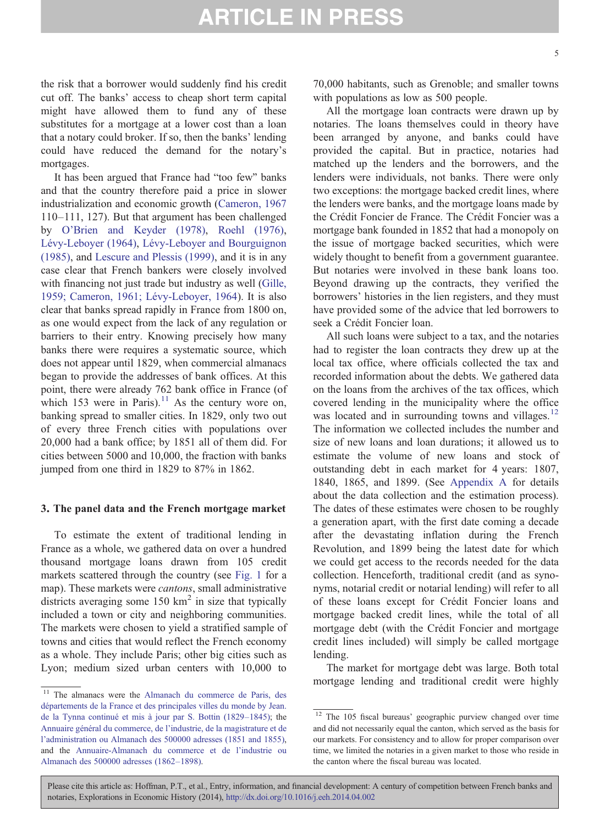the risk that a borrower would suddenly find his credit cut off. The banks' access to cheap short term capital might have allowed them to fund any of these substitutes for a mortgage at a lower cost than a loan that a notary could broker. If so, then the banks' lending could have reduced the demand for the notary's mortgages.

It has been argued that France had "too few" banks and that the country therefore paid a price in slower industrialization and economic growth [\(Cameron, 1967](#page-17-0) 110–111, 127). But that argument has been challenged by [O'Brien and Keyder \(1978\),](#page-17-0) [Roehl \(1976\),](#page-18-0) [Lévy-Leboyer \(1964\),](#page-17-0) [Lévy-Leboyer and Bourguignon](#page-17-0) [\(1985\)](#page-17-0), and [Lescure and Plessis \(1999\)](#page-17-0), and it is in any case clear that French bankers were closely involved with financing not just trade but industry as well ([Gille,](#page-17-0) [1959; Cameron, 1961; Lévy-Leboyer, 1964\)](#page-17-0). It is also clear that banks spread rapidly in France from 1800 on, as one would expect from the lack of any regulation or barriers to their entry. Knowing precisely how many banks there were requires a systematic source, which does not appear until 1829, when commercial almanacs began to provide the addresses of bank offices. At this point, there were already 762 bank office in France (of which 153 were in Paris).<sup>11</sup> As the century wore on, banking spread to smaller cities. In 1829, only two out of every three French cities with populations over 20,000 had a bank office; by 1851 all of them did. For cities between 5000 and 10,000, the fraction with banks jumped from one third in 1829 to 87% in 1862.

### 3. The panel data and the French mortgage market

To estimate the extent of traditional lending in France as a whole, we gathered data on over a hundred thousand mortgage loans drawn from 105 credit markets scattered through the country (see [Fig. 1](#page-5-0) for a map). These markets were cantons, small administrative districts averaging some  $150 \text{ km}^2$  in size that typically included a town or city and neighboring communities. The markets were chosen to yield a stratified sample of towns and cities that would reflect the French economy as a whole. They include Paris; other big cities such as Lyon; medium sized urban centers with 10,000 to 70,000 habitants, such as Grenoble; and smaller towns with populations as low as 500 people.

All the mortgage loan contracts were drawn up by notaries. The loans themselves could in theory have been arranged by anyone, and banks could have provided the capital. But in practice, notaries had matched up the lenders and the borrowers, and the lenders were individuals, not banks. There were only two exceptions: the mortgage backed credit lines, where the lenders were banks, and the mortgage loans made by the Crédit Foncier de France. The Crédit Foncier was a mortgage bank founded in 1852 that had a monopoly on the issue of mortgage backed securities, which were widely thought to benefit from a government guarantee. But notaries were involved in these bank loans too. Beyond drawing up the contracts, they verified the borrowers' histories in the lien registers, and they must have provided some of the advice that led borrowers to seek a Crédit Foncier loan.

All such loans were subject to a tax, and the notaries had to register the loan contracts they drew up at the local tax office, where officials collected the tax and recorded information about the debts. We gathered data on the loans from the archives of the tax offices, which covered lending in the municipality where the office was located and in surrounding towns and villages. $12$ The information we collected includes the number and size of new loans and loan durations; it allowed us to estimate the volume of new loans and stock of outstanding debt in each market for 4 years: 1807, 1840, 1865, and 1899. (See [Appendix A](#page-16-0) for details about the data collection and the estimation process). The dates of these estimates were chosen to be roughly a generation apart, with the first date coming a decade after the devastating inflation during the French Revolution, and 1899 being the latest date for which we could get access to the records needed for the data collection. Henceforth, traditional credit (and as synonyms, notarial credit or notarial lending) will refer to all of these loans except for Crédit Foncier loans and mortgage backed credit lines, while the total of all mortgage debt (with the Crédit Foncier and mortgage credit lines included) will simply be called mortgage lending.

The market for mortgage debt was large. Both total mortgage lending and traditional credit were highly

<sup>&</sup>lt;sup>11</sup> The almanacs were the [Almanach du commerce de Paris, des](#page-17-0) [départements de la France et des principales villes du monde by Jean.](#page-17-0) [de la Tynna continué et mis à jour par S. Bottin \(1829](#page-17-0)–1845); the [Annuaire général du commerce, de l'industrie, de la magistrature et de](#page-17-0) [l'administration ou Almanach des 500000 adresses \(1851 and 1855\)](#page-17-0), and the [Annuaire-Almanach du commerce et de l'industrie ou](#page-17-0) [Almanach des 500000 adresses \(1862](#page-17-0)–1898).

<sup>&</sup>lt;sup>12</sup> The 105 fiscal bureaus' geographic purview changed over time and did not necessarily equal the canton, which served as the basis for our markets. For consistency and to allow for proper comparison over time, we limited the notaries in a given market to those who reside in the canton where the fiscal bureau was located.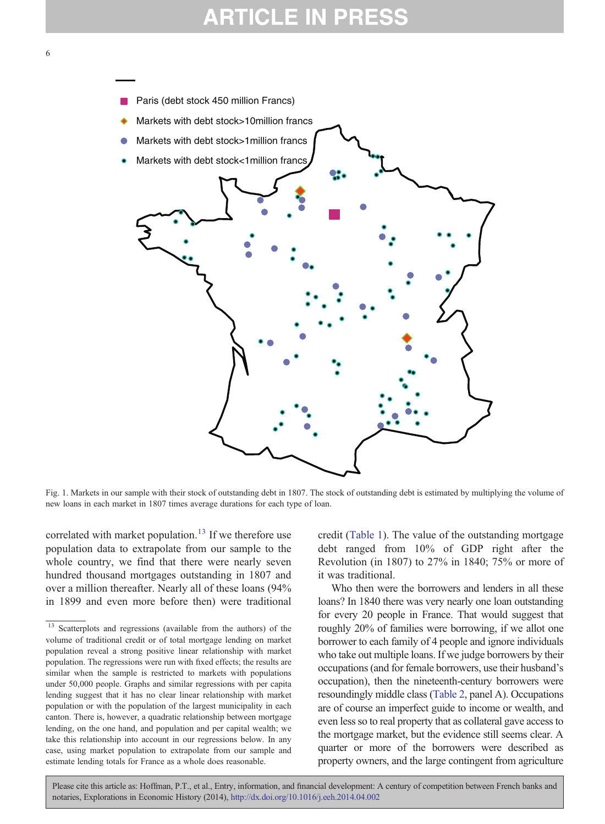- <span id="page-5-0"></span>Paris (debt stock 450 million Francs)
- Markets with debt stock>10million francs
- Markets with debt stock>1million francs
- 



Fig. 1. Markets in our sample with their stock of outstanding debt in 1807. The stock of outstanding debt is estimated by multiplying the volume of new loans in each market in 1807 times average durations for each type of loan.

correlated with market population.<sup>13</sup> If we therefore use population data to extrapolate from our sample to the whole country, we find that there were nearly seven hundred thousand mortgages outstanding in 1807 and over a million thereafter. Nearly all of these loans (94% in 1899 and even more before then) were traditional

credit ([Table 1\)](#page-2-0). The value of the outstanding mortgage debt ranged from 10% of GDP right after the Revolution (in 1807) to 27% in 1840; 75% or more of it was traditional.

Who then were the borrowers and lenders in all these loans? In 1840 there was very nearly one loan outstanding for every 20 people in France. That would suggest that roughly 20% of families were borrowing, if we allot one borrower to each family of 4 people and ignore individuals who take out multiple loans. If we judge borrowers by their occupations (and for female borrowers, use their husband's occupation), then the nineteenth-century borrowers were resoundingly middle class ([Table 2](#page-6-0), panel A). Occupations are of course an imperfect guide to income or wealth, and even less so to real property that as collateral gave access to the mortgage market, but the evidence still seems clear. A quarter or more of the borrowers were described as property owners, and the large contingent from agriculture

<sup>13</sup> Scatterplots and regressions (available from the authors) of the volume of traditional credit or of total mortgage lending on market population reveal a strong positive linear relationship with market population. The regressions were run with fixed effects; the results are similar when the sample is restricted to markets with populations under 50,000 people. Graphs and similar regressions with per capita lending suggest that it has no clear linear relationship with market population or with the population of the largest municipality in each canton. There is, however, a quadratic relationship between mortgage lending, on the one hand, and population and per capital wealth; we take this relationship into account in our regressions below. In any case, using market population to extrapolate from our sample and estimate lending totals for France as a whole does reasonable.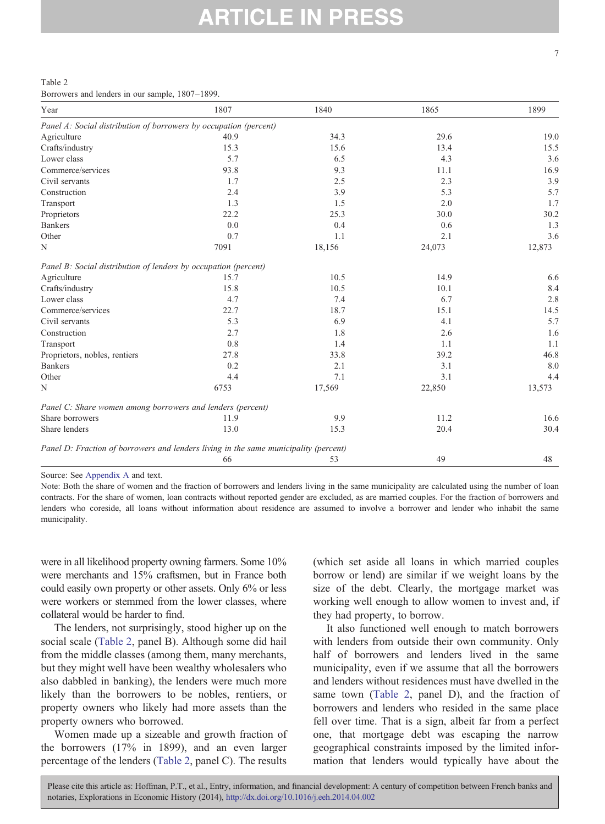### <span id="page-6-0"></span>Table 2

Borrowers and lenders in our sample, 1807–1899.

| Year                                                                                 | 1807 | 1840   | 1865   | 1899   |
|--------------------------------------------------------------------------------------|------|--------|--------|--------|
| Panel A: Social distribution of borrowers by occupation (percent)                    |      |        |        |        |
| Agriculture                                                                          | 40.9 | 34.3   | 29.6   | 19.0   |
| Crafts/industry                                                                      | 15.3 | 15.6   | 13.4   | 15.5   |
| Lower class                                                                          | 5.7  | 6.5    | 4.3    | 3.6    |
| Commerce/services                                                                    | 93.8 | 9.3    | 11.1   | 16.9   |
| Civil servants                                                                       | 1.7  | 2.5    | 2.3    | 3.9    |
| Construction                                                                         | 2.4  | 3.9    | 5.3    | 5.7    |
| Transport                                                                            | 1.3  | 1.5    | 2.0    | 1.7    |
| Proprietors                                                                          | 22.2 | 25.3   | 30.0   | 30.2   |
| <b>Bankers</b>                                                                       | 0.0  | 0.4    | 0.6    | 1.3    |
| Other                                                                                | 0.7  | 1.1    | 2.1    | 3.6    |
| N                                                                                    | 7091 | 18,156 | 24,073 | 12,873 |
| Panel B: Social distribution of lenders by occupation (percent)                      |      |        |        |        |
| Agriculture                                                                          | 15.7 | 10.5   | 14.9   | 6.6    |
| Crafts/industry                                                                      | 15.8 | 10.5   | 10.1   | 8.4    |
| Lower class                                                                          | 4.7  | 7.4    | 6.7    | 2.8    |
| Commerce/services                                                                    | 22.7 | 18.7   | 15.1   | 14.5   |
| Civil servants                                                                       | 5.3  | 6.9    | 4.1    | 5.7    |
| Construction                                                                         | 2.7  | 1.8    | 2.6    | 1.6    |
| Transport                                                                            | 0.8  | 1.4    | 1.1    | 1.1    |
| Proprietors, nobles, rentiers                                                        | 27.8 | 33.8   | 39.2   | 46.8   |
| <b>Bankers</b>                                                                       | 0.2  | 2.1    | 3.1    | 8.0    |
| Other                                                                                | 4.4  | 7.1    | 3.1    | 4.4    |
| N                                                                                    | 6753 | 17,569 | 22,850 | 13,573 |
| Panel C: Share women among borrowers and lenders (percent)                           |      |        |        |        |
| Share borrowers                                                                      | 11.9 | 9.9    | 11.2   | 16.6   |
| Share lenders                                                                        | 13.0 | 15.3   | 20.4   | 30.4   |
| Panel D: Fraction of borrowers and lenders living in the same municipality (percent) |      |        |        |        |
|                                                                                      | 66   | 53     | 49     | 48     |

Source: See [Appendix A](#page-16-0) and text.

Note: Both the share of women and the fraction of borrowers and lenders living in the same municipality are calculated using the number of loan contracts. For the share of women, loan contracts without reported gender are excluded, as are married couples. For the fraction of borrowers and lenders who coreside, all loans without information about residence are assumed to involve a borrower and lender who inhabit the same municipality.

were in all likelihood property owning farmers. Some 10% were merchants and 15% craftsmen, but in France both could easily own property or other assets. Only 6% or less were workers or stemmed from the lower classes, where collateral would be harder to find.

The lenders, not surprisingly, stood higher up on the social scale (Table 2, panel B). Although some did hail from the middle classes (among them, many merchants, but they might well have been wealthy wholesalers who also dabbled in banking), the lenders were much more likely than the borrowers to be nobles, rentiers, or property owners who likely had more assets than the property owners who borrowed.

Women made up a sizeable and growth fraction of the borrowers (17% in 1899), and an even larger percentage of the lenders (Table 2, panel C). The results (which set aside all loans in which married couples borrow or lend) are similar if we weight loans by the size of the debt. Clearly, the mortgage market was working well enough to allow women to invest and, if they had property, to borrow.

It also functioned well enough to match borrowers with lenders from outside their own community. Only half of borrowers and lenders lived in the same municipality, even if we assume that all the borrowers and lenders without residences must have dwelled in the same town (Table 2, panel D), and the fraction of borrowers and lenders who resided in the same place fell over time. That is a sign, albeit far from a perfect one, that mortgage debt was escaping the narrow geographical constraints imposed by the limited information that lenders would typically have about the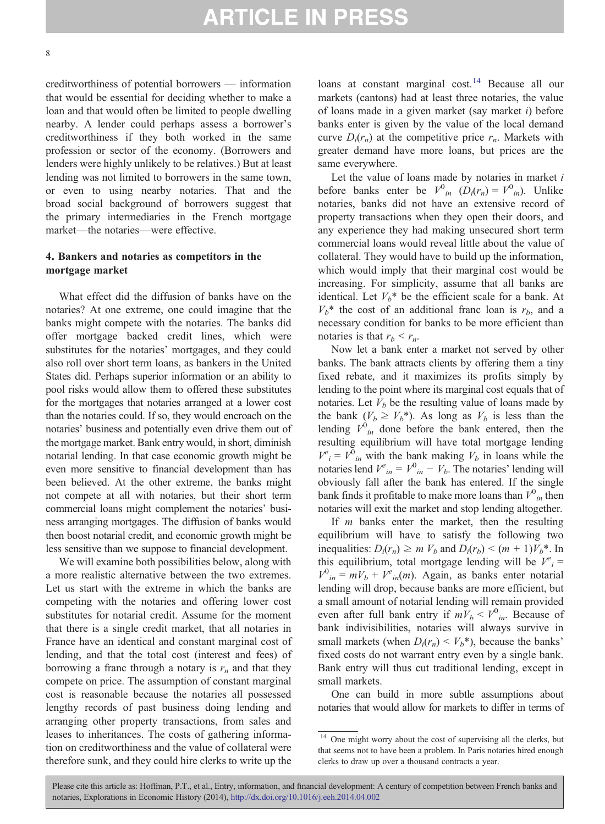creditworthiness of potential borrowers — information that would be essential for deciding whether to make a loan and that would often be limited to people dwelling nearby. A lender could perhaps assess a borrower's creditworthiness if they both worked in the same profession or sector of the economy. (Borrowers and lenders were highly unlikely to be relatives.) But at least lending was not limited to borrowers in the same town, or even to using nearby notaries. That and the broad social background of borrowers suggest that the primary intermediaries in the French mortgage market—the notaries—were effective.

### 4. Bankers and notaries as competitors in the mortgage market

What effect did the diffusion of banks have on the notaries? At one extreme, one could imagine that the banks might compete with the notaries. The banks did offer mortgage backed credit lines, which were substitutes for the notaries' mortgages, and they could also roll over short term loans, as bankers in the United States did. Perhaps superior information or an ability to pool risks would allow them to offered these substitutes for the mortgages that notaries arranged at a lower cost than the notaries could. If so, they would encroach on the notaries' business and potentially even drive them out of the mortgage market. Bank entry would, in short, diminish notarial lending. In that case economic growth might be even more sensitive to financial development than has been believed. At the other extreme, the banks might not compete at all with notaries, but their short term commercial loans might complement the notaries' business arranging mortgages. The diffusion of banks would then boost notarial credit, and economic growth might be less sensitive than we suppose to financial development.

We will examine both possibilities below, along with a more realistic alternative between the two extremes. Let us start with the extreme in which the banks are competing with the notaries and offering lower cost substitutes for notarial credit. Assume for the moment that there is a single credit market, that all notaries in France have an identical and constant marginal cost of lending, and that the total cost (interest and fees) of borrowing a franc through a notary is  $r_n$  and that they compete on price. The assumption of constant marginal cost is reasonable because the notaries all possessed lengthy records of past business doing lending and arranging other property transactions, from sales and leases to inheritances. The costs of gathering information on creditworthiness and the value of collateral were therefore sunk, and they could hire clerks to write up the

loans at constant marginal  $cost<sub>14</sub>$  Because all our markets (cantons) had at least three notaries, the value of loans made in a given market (say market  $i$ ) before banks enter is given by the value of the local demand curve  $D_i(r_n)$  at the competitive price  $r_n$ . Markets with greater demand have more loans, but prices are the same everywhere.

Let the value of loans made by notaries in market  $i$ before banks enter be  $V^0_{in}$   $(D_i(r_n) = V^0_{in})$ . Unlike notaries, banks did not have an extensive record of property transactions when they open their doors, and any experience they had making unsecured short term commercial loans would reveal little about the value of collateral. They would have to build up the information, which would imply that their marginal cost would be increasing. For simplicity, assume that all banks are identical. Let  $V_b^*$  be the efficient scale for a bank. At  $V_b^*$  the cost of an additional franc loan is  $r_b$ , and a necessary condition for banks to be more efficient than notaries is that  $r_b < r_n$ .

Now let a bank enter a market not served by other banks. The bank attracts clients by offering them a tiny fixed rebate, and it maximizes its profits simply by lending to the point where its marginal cost equals that of notaries. Let  $V_b$  be the resulting value of loans made by the bank  $(V_b \geq V_b^*)$ . As long as  $V_b$  is less than the lending  $V^0_{in}$  done before the bank entered, then the resulting equilibrium will have total mortgage lending  $V^{e}$ <sub>i</sub> =  $V^{0}$ <sub>in</sub> with the bank making  $V_b$  in loans while the notaries lend  $V^e_{in} = V^0_{in} - V_b$ . The notaries' lending will obviously fall after the bank has entered. If the single bank finds it profitable to make more loans than  $V^0_{\ \ in}$  then notaries will exit the market and stop lending altogether.

If  *banks enter the market, then the resulting* equilibrium will have to satisfy the following two inequalities:  $D_i(r_n) \ge m V_b$  and  $D_i(r_b) \le (m + 1)V_b^*$ . In this equilibrium, total mortgage lending will be  $V^e_i$  =  $V^0_{in} = mV_b + V^e_{in}(m)$ . Again, as banks enter notarial lending will drop, because banks are more efficient, but a small amount of notarial lending will remain provided even after full bank entry if  $mV_b < V_{in}^0$ . Because of bank indivisibilities, notaries will always survive in small markets (when  $D_i(r_n) \le V_b^*$ ), because the banks' fixed costs do not warrant entry even by a single bank. Bank entry will thus cut traditional lending, except in small markets.

One can build in more subtle assumptions about notaries that would allow for markets to differ in terms of

<sup>&</sup>lt;sup>14</sup> One might worry about the cost of supervising all the clerks, but that seems not to have been a problem. In Paris notaries hired enough clerks to draw up over a thousand contracts a year.

Please cite this article as: Hoffman, P.T., et al., Entry, information, and financial development: A century of competition between French banks and notaries, Explorations in Economic History (2014), <http://dx.doi.org/10.1016/j.eeh.2014.04.002>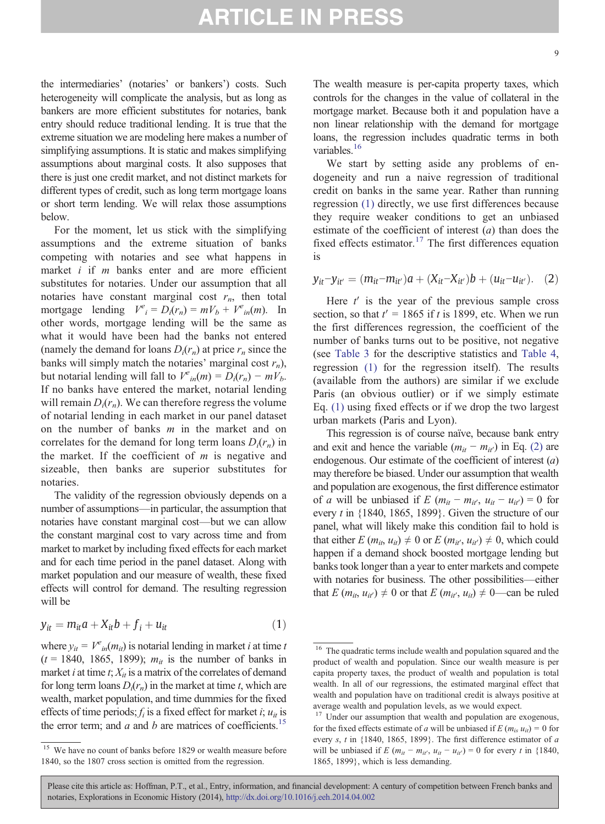<span id="page-8-0"></span>the intermediaries' (notaries' or bankers') costs. Such heterogeneity will complicate the analysis, but as long as bankers are more efficient substitutes for notaries, bank entry should reduce traditional lending. It is true that the extreme situation we are modeling here makes a number of simplifying assumptions. It is static and makes simplifying assumptions about marginal costs. It also supposes that there is just one credit market, and not distinct markets for different types of credit, such as long term mortgage loans or short term lending. We will relax those assumptions below.

For the moment, let us stick with the simplifying assumptions and the extreme situation of banks competing with notaries and see what happens in market  $i$  if  $m$  banks enter and are more efficient substitutes for notaries. Under our assumption that all notaries have constant marginal cost  $r_n$ , then total mortgage lending  $V^e_i = D_i(r_n) = mV_b + V^e_{in}(m)$ . In other words, mortgage lending will be the same as what it would have been had the banks not entered (namely the demand for loans  $D_i(r_n)$  at price  $r_n$  since the banks will simply match the notaries' marginal cost  $r_n$ ), but notarial lending will fall to  $V^e_{in}(m) = D_i(r_n) - mV_b$ . If no banks have entered the market, notarial lending will remain  $D_i(r_n)$ . We can therefore regress the volume of notarial lending in each market in our panel dataset on the number of banks  $m$  in the market and on correlates for the demand for long term loans  $D_i(r_n)$  in the market. If the coefficient of  $m$  is negative and sizeable, then banks are superior substitutes for notaries.

The validity of the regression obviously depends on a number of assumptions—in particular, the assumption that notaries have constant marginal cost—but we can allow the constant marginal cost to vary across time and from market to market by including fixed effects for each market and for each time period in the panel dataset. Along with market population and our measure of wealth, these fixed effects will control for demand. The resulting regression will be

$$
y_{it} = m_{it}a + X_{it}b + f_i + u_{it}
$$
\n<sup>(1)</sup>

where  $y_{it} = V_{in}^{e}(m_{it})$  is notarial lending in market *i* at time *t*  $(t = 1840, 1865, 1899)$ ;  $m_{it}$  is the number of banks in market *i* at time *t*;  $X_{it}$  is a matrix of the correlates of demand for long term loans  $D_i(r_n)$  in the market at time t, which are wealth, market population, and time dummies for the fixed effects of time periods;  $f_i$  is a fixed effect for market i;  $u_i$  is the error term; and  $a$  and  $b$  are matrices of coefficients.<sup>15</sup>

The wealth measure is per-capita property taxes, which controls for the changes in the value of collateral in the mortgage market. Because both it and population have a non linear relationship with the demand for mortgage loans, the regression includes quadratic terms in both variables.<sup>16</sup>

We start by setting aside any problems of endogeneity and run a naive regression of traditional credit on banks in the same year. Rather than running regression (1) directly, we use first differences because they require weaker conditions to get an unbiased estimate of the coefficient of interest  $(a)$  than does the fixed effects estimator.<sup>17</sup> The first differences equation is

$$
y_{it} - y_{it'} = (m_{it} - m_{it'})a + (X_{it} - X_{it'})b + (u_{it} - u_{it'}).
$$
 (2)

Here  $t'$  is the year of the previous sample cross section, so that  $t' = 1865$  if t is 1899, etc. When we run the first differences regression, the coefficient of the number of banks turns out to be positive, not negative (see [Table 3](#page-9-0) for the descriptive statistics and [Table 4,](#page-9-0) regression (1) for the regression itself). The results (available from the authors) are similar if we exclude Paris (an obvious outlier) or if we simply estimate Eq. (1) using fixed effects or if we drop the two largest urban markets (Paris and Lyon).

This regression is of course naïve, because bank entry and exit and hence the variable  $(m_{it} - m_{it'})$  in Eq. (2) are endogenous. Our estimate of the coefficient of interest  $(a)$ may therefore be biased. Under our assumption that wealth and population are exogenous, the first difference estimator of a will be unbiased if E ( $m_{it} - m_{it}$ ,  $u_{it} - u_{it'}$ ) = 0 for every  $t$  in  $\{1840, 1865, 1899\}$ . Given the structure of our panel, what will likely make this condition fail to hold is that either  $E(m_{it}, u_{it}) \neq 0$  or  $E(m_{it'}, u_{it'}) \neq 0$ , which could happen if a demand shock boosted mortgage lending but banks took longer than a year to enter markets and compete with notaries for business. The other possibilities—either that  $E(m_{it}, u_{it'}) \neq 0$  or that  $E(m_{it'}, u_{it}) \neq 0$ —can be ruled

<sup>&</sup>lt;sup>15</sup> We have no count of banks before 1829 or wealth measure before 1840, so the 1807 cross section is omitted from the regression.

<sup>&</sup>lt;sup>16</sup> The quadratic terms include wealth and population squared and the product of wealth and population. Since our wealth measure is per capita property taxes, the product of wealth and population is total wealth. In all of our regressions, the estimated marginal effect that wealth and population have on traditional credit is always positive at average wealth and population levels, as we would expect.

<sup>&</sup>lt;sup>17</sup> Under our assumption that wealth and population are exogenous, for the fixed effects estimate of a will be unbiased if  $E(m_{is} u_{it}) = 0$  for every s, t in {1840, 1865, 1899}. The first difference estimator of a will be unbiased if  $E(m_{it} - m_{it'}, u_{it} - u_{it'}) = 0$  for every t in {1840, 1865, 1899}, which is less demanding.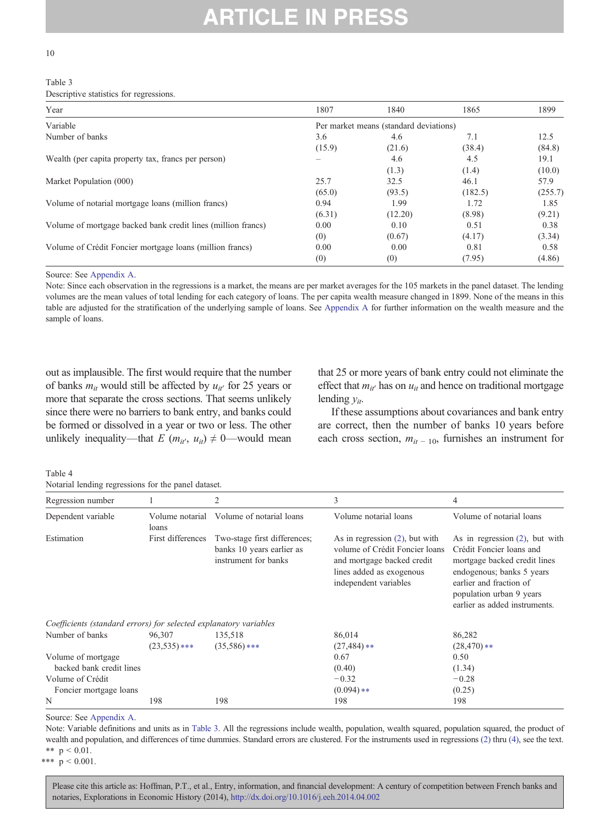<span id="page-9-0"></span>10

#### Table 3 Descriptive statistics for regressions.

| Year                                                         | 1807   | 1840                                   | 1865    | 1899    |
|--------------------------------------------------------------|--------|----------------------------------------|---------|---------|
| Variable                                                     |        | Per market means (standard deviations) |         |         |
| Number of banks                                              | 3.6    | 4.6                                    | 7.1     | 12.5    |
|                                                              | (15.9) | (21.6)                                 | (38.4)  | (84.8)  |
| Wealth (per capita property tax, francs per person)          |        | 4.6                                    | 4.5     | 19.1    |
|                                                              |        | (1.3)                                  | (1.4)   | (10.0)  |
| Market Population (000)                                      | 25.7   | 32.5                                   | 46.1    | 57.9    |
|                                                              | (65.0) | (93.5)                                 | (182.5) | (255.7) |
| Volume of notarial mortgage loans (million francs)           | 0.94   | 1.99                                   | 1.72    | 1.85    |
|                                                              | (6.31) | (12.20)                                | (8.98)  | (9.21)  |
| Volume of mortgage backed bank credit lines (million francs) | 0.00   | 0.10                                   | 0.51    | 0.38    |
|                                                              | (0)    | (0.67)                                 | (4.17)  | (3.34)  |
| Volume of Crédit Foncier mortgage loans (million francs)     | 0.00   | 0.00                                   | 0.81    | 0.58    |
|                                                              | (0)    | (0)                                    | (7.95)  | (4.86)  |

Source: See [Appendix A.](#page-16-0)

Note: Since each observation in the regressions is a market, the means are per market averages for the 105 markets in the panel dataset. The lending volumes are the mean values of total lending for each category of loans. The per capita wealth measure changed in 1899. None of the means in this table are adjusted for the stratification of the underlying sample of loans. See [Appendix A](#page-16-0) for further information on the wealth measure and the sample of loans.

out as implausible. The first would require that the number of banks  $m_{it}$  would still be affected by  $u_{it'}$  for 25 years or more that separate the cross sections. That seems unlikely since there were no barriers to bank entry, and banks could be formed or dissolved in a year or two or less. The other unlikely inequality—that  $E(m_{it'}, u_{it}) \neq 0$ —would mean that 25 or more years of bank entry could not eliminate the effect that  $m_{it'}$  has on  $u_{it}$  and hence on traditional mortgage lending  $v_{it}$ .

If these assumptions about covariances and bank entry are correct, then the number of banks 10 years before each cross section,  $m_{it-10}$ , furnishes an instrument for

Table 4

Notarial lending regressions for the panel dataset.

| Regression number                                                 |                          | 2                                                                                 | 3                                                                                                                                                                                                                                                                                                                                                                            | 4                        |
|-------------------------------------------------------------------|--------------------------|-----------------------------------------------------------------------------------|------------------------------------------------------------------------------------------------------------------------------------------------------------------------------------------------------------------------------------------------------------------------------------------------------------------------------------------------------------------------------|--------------------------|
| Dependent variable                                                | Volume notarial<br>loans | Volume of notarial loans                                                          | Volume notarial loans                                                                                                                                                                                                                                                                                                                                                        | Volume of notarial loans |
| Estimation                                                        | First differences        | Two-stage first differences;<br>banks 10 years earlier as<br>instrument for banks | As in regression $(2)$ , but with<br>As in regression $(2)$ , but with<br>Crédit Foncier loans and<br>volume of Crédit Foncier loans<br>and mortgage backed credit<br>mortgage backed credit lines<br>lines added as exogenous<br>endogenous; banks 5 years<br>independent variables<br>earlier and fraction of<br>population urban 9 years<br>earlier as added instruments. |                          |
| Coefficients (standard errors) for selected explanatory variables |                          |                                                                                   |                                                                                                                                                                                                                                                                                                                                                                              |                          |
| Number of banks                                                   | 96,307                   | 135,518                                                                           | 86,014                                                                                                                                                                                                                                                                                                                                                                       | 86,282                   |
|                                                                   | $(23,535)$ ***           | $(35,586)$ ***                                                                    | $(27, 484)$ **                                                                                                                                                                                                                                                                                                                                                               | $(28, 470)$ **           |
| Volume of mortgage                                                |                          |                                                                                   | 0.67                                                                                                                                                                                                                                                                                                                                                                         | 0.50                     |
| backed bank credit lines                                          |                          |                                                                                   | (0.40)                                                                                                                                                                                                                                                                                                                                                                       | (1.34)                   |
| Volume of Crédit                                                  |                          |                                                                                   | $-0.32$                                                                                                                                                                                                                                                                                                                                                                      | $-0.28$                  |
| Foncier mortgage loans                                            |                          |                                                                                   | $(0.094)$ **                                                                                                                                                                                                                                                                                                                                                                 | (0.25)                   |
| N                                                                 | 198                      | 198                                                                               | 198                                                                                                                                                                                                                                                                                                                                                                          | 198                      |

Source: See [Appendix A.](#page-16-0)

Note: Variable definitions and units as in Table 3. All the regressions include wealth, population, wealth squared, population squared, the product of wealth and population, and differences of time dummies. Standard errors are clustered. For the instruments used in regressions [\(2\)](#page-8-0) thru [\(4\),](#page-14-0) see the text. \*\*  $p < 0.01$ .

\*\*\*  $p < 0.001$ .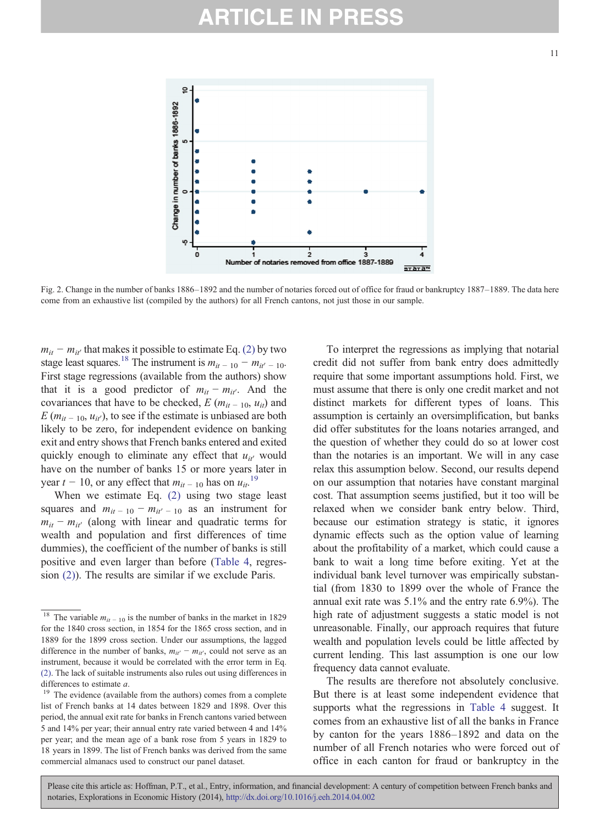<span id="page-10-0"></span>

Fig. 2. Change in the number of banks 1886–1892 and the number of notaries forced out of office for fraud or bankruptcy 1887–1889. The data here come from an exhaustive list (compiled by the authors) for all French cantons, not just those in our sample.

 $m_{it} - m_{it'}$  that makes it possible to estimate Eq. [\(2\)](#page-8-0) by two stage least squares.<sup>18</sup> The instrument is  $m_{it-10} - m_{it'-10}$ . First stage regressions (available from the authors) show that it is a good predictor of  $m_{it} - m_{it'}$ . And the covariances that have to be checked,  $E(m_{it-10}, u_{it})$  and  $E(m_{it-10}, u_{it'})$ , to see if the estimate is unbiased are both likely to be zero, for independent evidence on banking exit and entry shows that French banks entered and exited quickly enough to eliminate any effect that  $u_{it'}$  would have on the number of banks 15 or more years later in year  $t - 10$ , or any effect that  $m_{it-10}$  has on  $u_{it}$ .<sup>19</sup>

When we estimate Eq. [\(2\)](#page-8-0) using two stage least squares and  $m_{it-10} - m_{it'-10}$  as an instrument for  $m_{it} - m_{it'}$  (along with linear and quadratic terms for wealth and population and first differences of time dummies), the coefficient of the number of banks is still positive and even larger than before [\(Table 4](#page-9-0), regression [\(2\)\)](#page-8-0). The results are similar if we exclude Paris.

To interpret the regressions as implying that notarial credit did not suffer from bank entry does admittedly require that some important assumptions hold. First, we must assume that there is only one credit market and not distinct markets for different types of loans. This assumption is certainly an oversimplification, but banks did offer substitutes for the loans notaries arranged, and the question of whether they could do so at lower cost than the notaries is an important. We will in any case relax this assumption below. Second, our results depend on our assumption that notaries have constant marginal cost. That assumption seems justified, but it too will be relaxed when we consider bank entry below. Third, because our estimation strategy is static, it ignores dynamic effects such as the option value of learning about the profitability of a market, which could cause a bank to wait a long time before exiting. Yet at the individual bank level turnover was empirically substantial (from 1830 to 1899 over the whole of France the annual exit rate was 5.1% and the entry rate 6.9%). The high rate of adjustment suggests a static model is not unreasonable. Finally, our approach requires that future wealth and population levels could be little affected by current lending. This last assumption is one our low frequency data cannot evaluate.

The results are therefore not absolutely conclusive. But there is at least some independent evidence that supports what the regressions in [Table 4](#page-9-0) suggest. It comes from an exhaustive list of all the banks in France by canton for the years 1886–1892 and data on the number of all French notaries who were forced out of office in each canton for fraud or bankruptcy in the

<sup>&</sup>lt;sup>18</sup> The variable  $m_{it-10}$  is the number of banks in the market in 1829 for the 1840 cross section, in 1854 for the 1865 cross section, and in 1889 for the 1899 cross section. Under our assumptions, the lagged difference in the number of banks,  $m_{it'} - m_{it'}$ , could not serve as an instrument, because it would be correlated with the error term in Eq. [\(2\).](#page-8-0) The lack of suitable instruments also rules out using differences in differences to estimate  $a$ .<br><sup>19</sup> The evidence (available from the authors) comes from a complete

list of French banks at 14 dates between 1829 and 1898. Over this period, the annual exit rate for banks in French cantons varied between 5 and 14% per year; their annual entry rate varied between 4 and 14% per year; and the mean age of a bank rose from 5 years in 1829 to 18 years in 1899. The list of French banks was derived from the same commercial almanacs used to construct our panel dataset.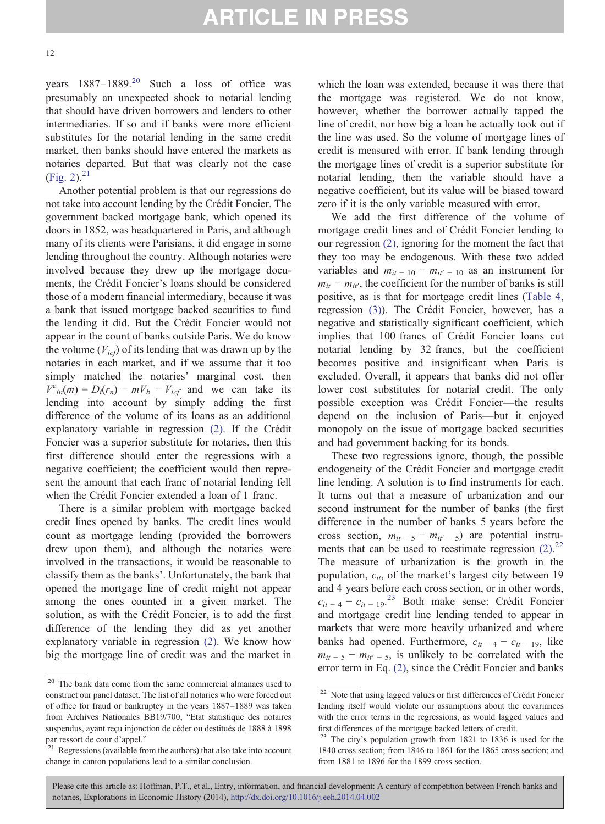#### 12

### **ARTICLE IN PRESS**

vears  $1887-1889$ <sup>20</sup> Such a loss of office was presumably an unexpected shock to notarial lending that should have driven borrowers and lenders to other intermediaries. If so and if banks were more efficient substitutes for the notarial lending in the same credit market, then banks should have entered the markets as notaries departed. But that was clearly not the case [\(Fig. 2](#page-10-0)). $^{21}$ 

Another potential problem is that our regressions do not take into account lending by the Crédit Foncier. The government backed mortgage bank, which opened its doors in 1852, was headquartered in Paris, and although many of its clients were Parisians, it did engage in some lending throughout the country. Although notaries were involved because they drew up the mortgage documents, the Crédit Foncier's loans should be considered those of a modern financial intermediary, because it was a bank that issued mortgage backed securities to fund the lending it did. But the Crédit Foncier would not appear in the count of banks outside Paris. We do know the volume  $(V_{icf})$  of its lending that was drawn up by the notaries in each market, and if we assume that it too simply matched the notaries' marginal cost, then  $V_{in}^{e}(m) = D_i(r_n) - mV_b - V_{icf}$  and we can take its lending into account by simply adding the first difference of the volume of its loans as an additional explanatory variable in regression [\(2\).](#page-8-0) If the Crédit Foncier was a superior substitute for notaries, then this first difference should enter the regressions with a negative coefficient; the coefficient would then represent the amount that each franc of notarial lending fell when the Crédit Foncier extended a loan of 1 franc.

There is a similar problem with mortgage backed credit lines opened by banks. The credit lines would count as mortgage lending (provided the borrowers drew upon them), and although the notaries were involved in the transactions, it would be reasonable to classify them as the banks'. Unfortunately, the bank that opened the mortgage line of credit might not appear among the ones counted in a given market. The solution, as with the Crédit Foncier, is to add the first difference of the lending they did as yet another explanatory variable in regression [\(2\).](#page-8-0) We know how big the mortgage line of credit was and the market in

which the loan was extended, because it was there that the mortgage was registered. We do not know, however, whether the borrower actually tapped the line of credit, nor how big a loan he actually took out if the line was used. So the volume of mortgage lines of credit is measured with error. If bank lending through the mortgage lines of credit is a superior substitute for notarial lending, then the variable should have a negative coefficient, but its value will be biased toward zero if it is the only variable measured with error.

We add the first difference of the volume of mortgage credit lines and of Crédit Foncier lending to our regression [\(2\)](#page-8-0), ignoring for the moment the fact that they too may be endogenous. With these two added variables and  $m_{it-10} - m_{it'-10}$  as an instrument for  $m_{it} - m_{it'}$ , the coefficient for the number of banks is still positive, as is that for mortgage credit lines ([Table 4,](#page-9-0) regression [\(3\)](#page-14-0)). The Crédit Foncier, however, has a negative and statistically significant coefficient, which implies that 100 francs of Crédit Foncier loans cut notarial lending by 32 francs, but the coefficient becomes positive and insignificant when Paris is excluded. Overall, it appears that banks did not offer lower cost substitutes for notarial credit. The only possible exception was Crédit Foncier—the results depend on the inclusion of Paris—but it enjoyed monopoly on the issue of mortgage backed securities and had government backing for its bonds.

These two regressions ignore, though, the possible endogeneity of the Crédit Foncier and mortgage credit line lending. A solution is to find instruments for each. It turns out that a measure of urbanization and our second instrument for the number of banks (the first difference in the number of banks 5 years before the cross section,  $m_{it-5} - m_{it'-5}$ ) are potential instruments that can be used to reestimate regression  $(2)$ .<sup>22</sup> The measure of urbanization is the growth in the population,  $c_{it}$ , of the market's largest city between 19 and 4 years before each cross section, or in other words,  $c_{it-4} - c_{it-19}$ .<sup>23</sup> Both make sense: Crédit Foncier and mortgage credit line lending tended to appear in markets that were more heavily urbanized and where banks had opened. Furthermore,  $c_{it-4} - c_{it-19}$ , like  $m_{it-5} - m_{it'-5}$ , is unlikely to be correlated with the error term in Eq. [\(2\),](#page-8-0) since the Crédit Foncier and banks

<sup>&</sup>lt;sup>20</sup> The bank data come from the same commercial almanacs used to construct our panel dataset. The list of all notaries who were forced out of office for fraud or bankruptcy in the years 1887–1889 was taken from Archives Nationales BB19/700, "Etat statistique des notaires suspendus, ayant reçu injonction de céder ou destitués de 1888 à 1898 par ressort de cour d'appel." <sup>21</sup> Regressions (available from the authors) that also take into account

change in canton populations lead to a similar conclusion.

<sup>22</sup> Note that using lagged values or first differences of Crédit Foncier lending itself would violate our assumptions about the covariances with the error terms in the regressions, as would lagged values and first differences of the mortgage backed letters of credit.

<sup>&</sup>lt;sup>23</sup> The city's population growth from 1821 to 1836 is used for the 1840 cross section; from 1846 to 1861 for the 1865 cross section; and from 1881 to 1896 for the 1899 cross section.

Please cite this article as: Hoffman, P.T., et al., Entry, information, and financial development: A century of competition between French banks and notaries, Explorations in Economic History (2014), <http://dx.doi.org/10.1016/j.eeh.2014.04.002>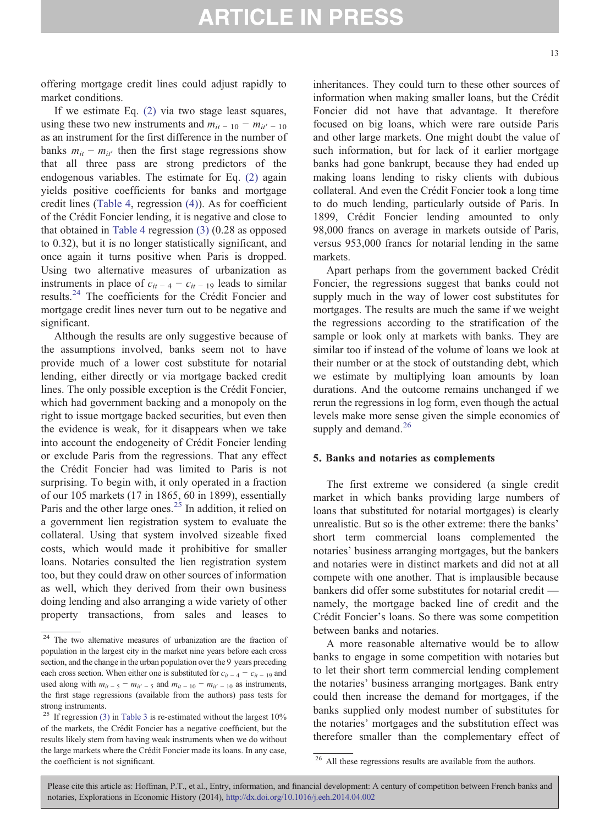offering mortgage credit lines could adjust rapidly to market conditions.

If we estimate Eq. [\(2\)](#page-8-0) via two stage least squares, using these two new instruments and  $m_{it-10} - m_{it'-10}$ as an instrument for the first difference in the number of banks  $m_{it} - m_{it'}$  then the first stage regressions show that all three pass are strong predictors of the endogenous variables. The estimate for Eq. [\(2\)](#page-8-0) again yields positive coefficients for banks and mortgage credit lines [\(Table 4,](#page-9-0) regression [\(4\)\)](#page-14-0). As for coefficient of the Crédit Foncier lending, it is negative and close to that obtained in [Table 4](#page-9-0) regression [\(3\)](#page-14-0) (0.28 as opposed to 0.32), but it is no longer statistically significant, and once again it turns positive when Paris is dropped. Using two alternative measures of urbanization as instruments in place of  $c_{it-4} - c_{it-19}$  leads to similar results.<sup>24</sup> The coefficients for the Crédit Foncier and mortgage credit lines never turn out to be negative and significant.

Although the results are only suggestive because of the assumptions involved, banks seem not to have provide much of a lower cost substitute for notarial lending, either directly or via mortgage backed credit lines. The only possible exception is the Crédit Foncier, which had government backing and a monopoly on the right to issue mortgage backed securities, but even then the evidence is weak, for it disappears when we take into account the endogeneity of Crédit Foncier lending or exclude Paris from the regressions. That any effect the Crédit Foncier had was limited to Paris is not surprising. To begin with, it only operated in a fraction of our 105 markets (17 in 1865, 60 in 1899), essentially Paris and the other large ones.<sup>25</sup> In addition, it relied on a government lien registration system to evaluate the collateral. Using that system involved sizeable fixed costs, which would made it prohibitive for smaller loans. Notaries consulted the lien registration system too, but they could draw on other sources of information as well, which they derived from their own business doing lending and also arranging a wide variety of other property transactions, from sales and leases to

inheritances. They could turn to these other sources of information when making smaller loans, but the Crédit Foncier did not have that advantage. It therefore focused on big loans, which were rare outside Paris and other large markets. One might doubt the value of such information, but for lack of it earlier mortgage banks had gone bankrupt, because they had ended up making loans lending to risky clients with dubious collateral. And even the Crédit Foncier took a long time to do much lending, particularly outside of Paris. In 1899, Crédit Foncier lending amounted to only 98,000 francs on average in markets outside of Paris, versus 953,000 francs for notarial lending in the same markets.

Apart perhaps from the government backed Crédit Foncier, the regressions suggest that banks could not supply much in the way of lower cost substitutes for mortgages. The results are much the same if we weight the regressions according to the stratification of the sample or look only at markets with banks. They are similar too if instead of the volume of loans we look at their number or at the stock of outstanding debt, which we estimate by multiplying loan amounts by loan durations. And the outcome remains unchanged if we rerun the regressions in log form, even though the actual levels make more sense given the simple economics of supply and demand. $26$ 

#### 5. Banks and notaries as complements

The first extreme we considered (a single credit market in which banks providing large numbers of loans that substituted for notarial mortgages) is clearly unrealistic. But so is the other extreme: there the banks' short term commercial loans complemented the notaries' business arranging mortgages, but the bankers and notaries were in distinct markets and did not at all compete with one another. That is implausible because bankers did offer some substitutes for notarial credit namely, the mortgage backed line of credit and the Crédit Foncier's loans. So there was some competition between banks and notaries.

A more reasonable alternative would be to allow banks to engage in some competition with notaries but to let their short term commercial lending complement the notaries' business arranging mortgages. Bank entry could then increase the demand for mortgages, if the banks supplied only modest number of substitutes for the notaries' mortgages and the substitution effect was therefore smaller than the complementary effect of

<sup>24</sup> The two alternative measures of urbanization are the fraction of population in the largest city in the market nine years before each cross section, and the change in the urban population over the 9 years preceding each cross section. When either one is substituted for  $c_{it-4} - c_{it-19}$  and used along with  $m_{it-5} - m_{it'-5}$  and  $m_{it-10} - m_{it'-10}$  as instruments, the first stage regressions (available from the authors) pass tests for strong instruments.

<sup>&</sup>lt;sup>25</sup> If regression [\(3\)](#page-14-0) in [Table 3](#page-9-0) is re-estimated without the largest  $10\%$ of the markets, the Crédit Foncier has a negative coefficient, but the results likely stem from having weak instruments when we do without the large markets where the Crédit Foncier made its loans. In any case, the coefficient is not significant. <sup>26</sup> All these regressions results are available from the authors.

Please cite this article as: Hoffman, P.T., et al., Entry, information, and financial development: A century of competition between French banks and notaries, Explorations in Economic History (2014), <http://dx.doi.org/10.1016/j.eeh.2014.04.002>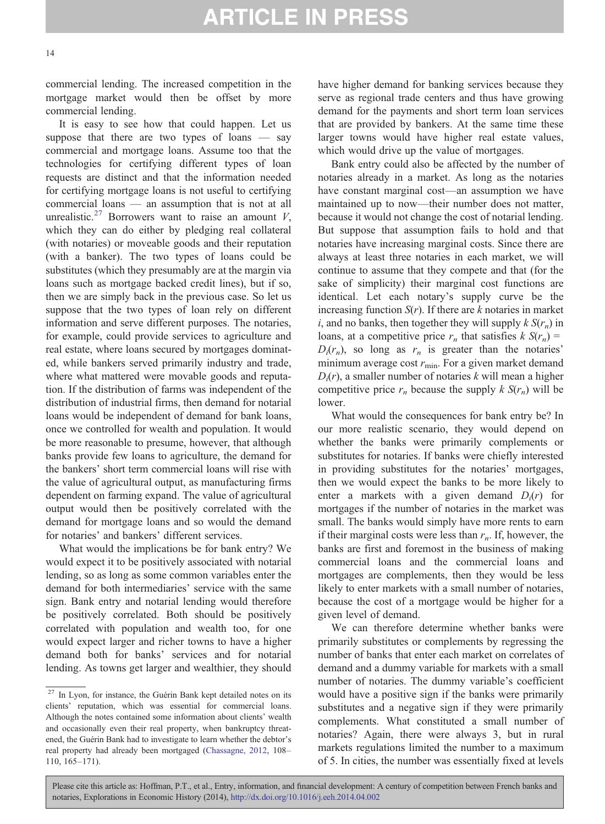commercial lending. The increased competition in the mortgage market would then be offset by more commercial lending.

It is easy to see how that could happen. Let us suppose that there are two types of loans  $-$  say commercial and mortgage loans. Assume too that the technologies for certifying different types of loan requests are distinct and that the information needed for certifying mortgage loans is not useful to certifying commercial loans — an assumption that is not at all unrealistic.<sup>27</sup> Borrowers want to raise an amount  $V$ , which they can do either by pledging real collateral (with notaries) or moveable goods and their reputation (with a banker). The two types of loans could be substitutes (which they presumably are at the margin via loans such as mortgage backed credit lines), but if so, then we are simply back in the previous case. So let us suppose that the two types of loan rely on different information and serve different purposes. The notaries, for example, could provide services to agriculture and real estate, where loans secured by mortgages dominated, while bankers served primarily industry and trade, where what mattered were movable goods and reputation. If the distribution of farms was independent of the distribution of industrial firms, then demand for notarial loans would be independent of demand for bank loans, once we controlled for wealth and population. It would be more reasonable to presume, however, that although banks provide few loans to agriculture, the demand for the bankers' short term commercial loans will rise with the value of agricultural output, as manufacturing firms dependent on farming expand. The value of agricultural output would then be positively correlated with the demand for mortgage loans and so would the demand for notaries' and bankers' different services.

What would the implications be for bank entry? We would expect it to be positively associated with notarial lending, so as long as some common variables enter the demand for both intermediaries' service with the same sign. Bank entry and notarial lending would therefore be positively correlated. Both should be positively correlated with population and wealth too, for one would expect larger and richer towns to have a higher demand both for banks' services and for notarial lending. As towns get larger and wealthier, they should have higher demand for banking services because they serve as regional trade centers and thus have growing demand for the payments and short term loan services that are provided by bankers. At the same time these larger towns would have higher real estate values, which would drive up the value of mortgages.

Bank entry could also be affected by the number of notaries already in a market. As long as the notaries have constant marginal cost—an assumption we have maintained up to now—their number does not matter, because it would not change the cost of notarial lending. But suppose that assumption fails to hold and that notaries have increasing marginal costs. Since there are always at least three notaries in each market, we will continue to assume that they compete and that (for the sake of simplicity) their marginal cost functions are identical. Let each notary's supply curve be the increasing function  $S(r)$ . If there are k notaries in market i, and no banks, then together they will supply  $k S(r_n)$  in loans, at a competitive price  $r_n$  that satisfies  $k S(r_n) =$  $D_i(r_n)$ , so long as  $r_n$  is greater than the notaries' minimum average cost  $r_{\text{min}}$ . For a given market demand  $D_i(r)$ , a smaller number of notaries k will mean a higher competitive price  $r_n$  because the supply  $k S(r_n)$  will be lower.

What would the consequences for bank entry be? In our more realistic scenario, they would depend on whether the banks were primarily complements or substitutes for notaries. If banks were chiefly interested in providing substitutes for the notaries' mortgages, then we would expect the banks to be more likely to enter a markets with a given demand  $D_i(r)$  for mortgages if the number of notaries in the market was small. The banks would simply have more rents to earn if their marginal costs were less than  $r_n$ . If, however, the banks are first and foremost in the business of making commercial loans and the commercial loans and mortgages are complements, then they would be less likely to enter markets with a small number of notaries, because the cost of a mortgage would be higher for a given level of demand.

We can therefore determine whether banks were primarily substitutes or complements by regressing the number of banks that enter each market on correlates of demand and a dummy variable for markets with a small number of notaries. The dummy variable's coefficient would have a positive sign if the banks were primarily substitutes and a negative sign if they were primarily complements. What constituted a small number of notaries? Again, there were always 3, but in rural markets regulations limited the number to a maximum of 5. In cities, the number was essentially fixed at levels

<sup>&</sup>lt;sup>27</sup> In Lyon, for instance, the Guérin Bank kept detailed notes on its clients' reputation, which was essential for commercial loans. Although the notes contained some information about clients' wealth and occasionally even their real property, when bankruptcy threatened, the Guérin Bank had to investigate to learn whether the debtor's real property had already been mortgaged [\(Chassagne, 2012](#page-17-0), 108– 110, 165–171).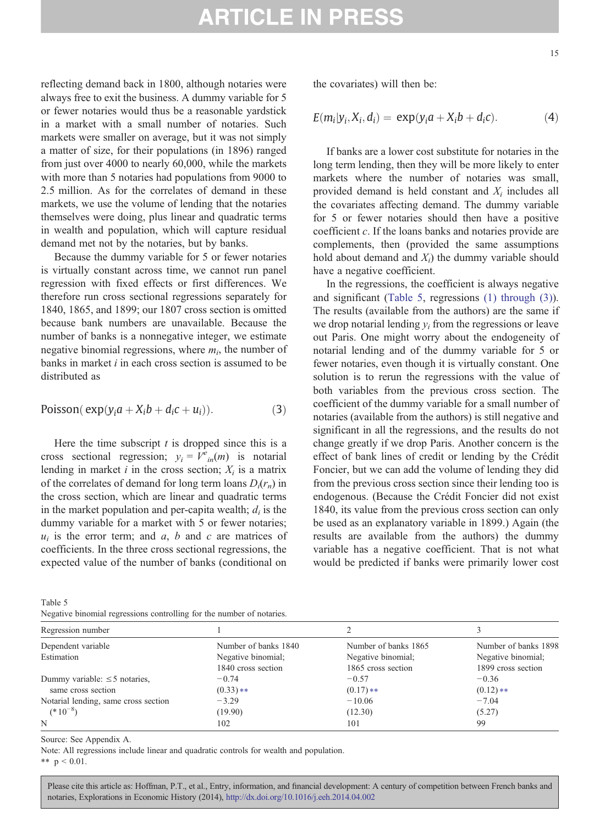<span id="page-14-0"></span>reflecting demand back in 1800, although notaries were always free to exit the business. A dummy variable for 5 or fewer notaries would thus be a reasonable yardstick in a market with a small number of notaries. Such markets were smaller on average, but it was not simply a matter of size, for their populations (in 1896) ranged from just over 4000 to nearly 60,000, while the markets with more than 5 notaries had populations from 9000 to 2.5 million. As for the correlates of demand in these markets, we use the volume of lending that the notaries themselves were doing, plus linear and quadratic terms in wealth and population, which will capture residual demand met not by the notaries, but by banks.

Because the dummy variable for 5 or fewer notaries is virtually constant across time, we cannot run panel regression with fixed effects or first differences. We therefore run cross sectional regressions separately for 1840, 1865, and 1899; our 1807 cross section is omitted because bank numbers are unavailable. Because the number of banks is a nonnegative integer, we estimate negative binomial regressions, where  $m_i$ , the number of banks in market  $i$  in each cross section is assumed to be distributed as

$$
Poisson(\exp(y_i a + X_i b + d_i c + u_i)).\tag{3}
$$

Here the time subscript  $t$  is dropped since this is a cross sectional regression;  $y_i = V e_{in}(m)$  is notarial lending in market i in the cross section;  $X_i$  is a matrix of the correlates of demand for long term loans  $D_i(r_n)$  in the cross section, which are linear and quadratic terms in the market population and per-capita wealth;  $d_i$  is the dummy variable for a market with 5 or fewer notaries;  $u_i$  is the error term; and a, b and c are matrices of coefficients. In the three cross sectional regressions, the expected value of the number of banks (conditional on

Table 5

| Negative binomial regressions controlling for the number of notaries. |  |
|-----------------------------------------------------------------------|--|
|-----------------------------------------------------------------------|--|

the covariates) will then be:

$$
E(m_i|y_i, X_i, d_i) = \exp(y_i a + X_i b + d_i c). \tag{4}
$$

If banks are a lower cost substitute for notaries in the long term lending, then they will be more likely to enter markets where the number of notaries was small, provided demand is held constant and  $X_i$  includes all the covariates affecting demand. The dummy variable for 5 or fewer notaries should then have a positive coefficient c. If the loans banks and notaries provide are complements, then (provided the same assumptions hold about demand and  $X_i$ ) the dummy variable should have a negative coefficient.

In the regressions, the coefficient is always negative and significant (Table 5, regressions [\(1\) through \(3\)](#page-8-0)). The results (available from the authors) are the same if we drop notarial lending  $y_i$  from the regressions or leave out Paris. One might worry about the endogeneity of notarial lending and of the dummy variable for 5 or fewer notaries, even though it is virtually constant. One solution is to rerun the regressions with the value of both variables from the previous cross section. The coefficient of the dummy variable for a small number of notaries (available from the authors) is still negative and significant in all the regressions, and the results do not change greatly if we drop Paris. Another concern is the effect of bank lines of credit or lending by the Crédit Foncier, but we can add the volume of lending they did from the previous cross section since their lending too is endogenous. (Because the Crédit Foncier did not exist 1840, its value from the previous cross section can only be used as an explanatory variable in 1899.) Again (the results are available from the authors) the dummy variable has a negative coefficient. That is not what would be predicted if banks were primarily lower cost

| <u>reguere chronium regresorono controming for the number of housies.</u> |                      |                      |                      |  |
|---------------------------------------------------------------------------|----------------------|----------------------|----------------------|--|
| Regression number                                                         |                      |                      |                      |  |
| Dependent variable                                                        | Number of banks 1840 | Number of banks 1865 | Number of banks 1898 |  |
| Estimation                                                                | Negative binomial;   | Negative binomial;   | Negative binomial;   |  |
|                                                                           | 1840 cross section   | 1865 cross section   | 1899 cross section   |  |
| Dummy variable: $\leq$ 5 notaries,                                        | $-0.74$              | $-0.57$              | $-0.36$              |  |
| same cross section                                                        | $(0.33)$ **          | $(0.17)$ **          | $(0.12)$ **          |  |
| Notarial lending, same cross section                                      | $-3.29$              | $-10.06$             | $-7.04$              |  |
| $(*10^{-8})$                                                              | (19.90)              | (12.30)              | (5.27)               |  |
| N                                                                         | 102                  | 101                  | 99                   |  |

Source: See Appendix A.

Note: All regressions include linear and quadratic controls for wealth and population.

\*\*  $p < 0.01$ .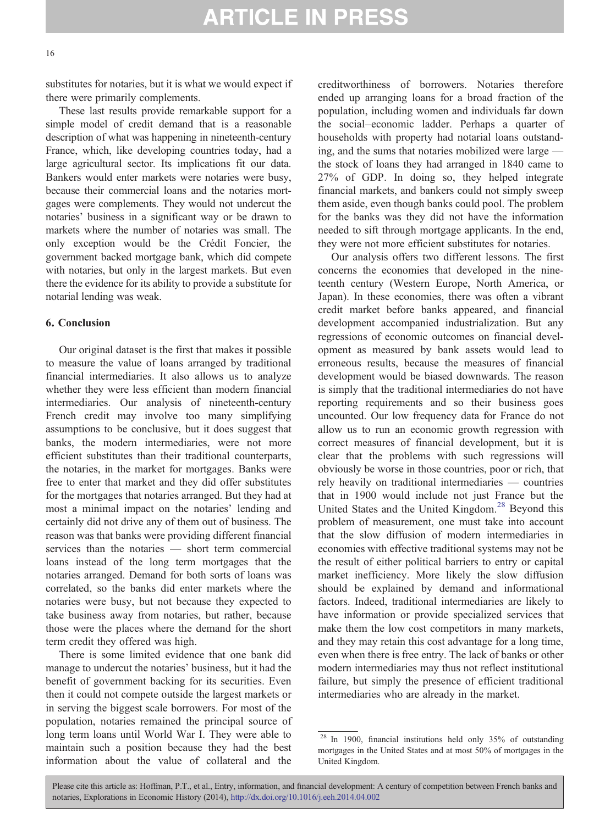substitutes for notaries, but it is what we would expect if there were primarily complements.

These last results provide remarkable support for a simple model of credit demand that is a reasonable description of what was happening in nineteenth-century France, which, like developing countries today, had a large agricultural sector. Its implications fit our data. Bankers would enter markets were notaries were busy, because their commercial loans and the notaries mortgages were complements. They would not undercut the notaries' business in a significant way or be drawn to markets where the number of notaries was small. The only exception would be the Crédit Foncier, the government backed mortgage bank, which did compete with notaries, but only in the largest markets. But even there the evidence for its ability to provide a substitute for notarial lending was weak.

#### 6. Conclusion

Our original dataset is the first that makes it possible to measure the value of loans arranged by traditional financial intermediaries. It also allows us to analyze whether they were less efficient than modern financial intermediaries. Our analysis of nineteenth-century French credit may involve too many simplifying assumptions to be conclusive, but it does suggest that banks, the modern intermediaries, were not more efficient substitutes than their traditional counterparts, the notaries, in the market for mortgages. Banks were free to enter that market and they did offer substitutes for the mortgages that notaries arranged. But they had at most a minimal impact on the notaries' lending and certainly did not drive any of them out of business. The reason was that banks were providing different financial services than the notaries — short term commercial loans instead of the long term mortgages that the notaries arranged. Demand for both sorts of loans was correlated, so the banks did enter markets where the notaries were busy, but not because they expected to take business away from notaries, but rather, because those were the places where the demand for the short term credit they offered was high.

There is some limited evidence that one bank did manage to undercut the notaries' business, but it had the benefit of government backing for its securities. Even then it could not compete outside the largest markets or in serving the biggest scale borrowers. For most of the population, notaries remained the principal source of long term loans until World War I. They were able to maintain such a position because they had the best information about the value of collateral and the

creditworthiness of borrowers. Notaries therefore ended up arranging loans for a broad fraction of the population, including women and individuals far down the social–economic ladder. Perhaps a quarter of households with property had notarial loans outstanding, and the sums that notaries mobilized were large the stock of loans they had arranged in 1840 came to 27% of GDP. In doing so, they helped integrate financial markets, and bankers could not simply sweep them aside, even though banks could pool. The problem for the banks was they did not have the information needed to sift through mortgage applicants. In the end, they were not more efficient substitutes for notaries.

Our analysis offers two different lessons. The first concerns the economies that developed in the nineteenth century (Western Europe, North America, or Japan). In these economies, there was often a vibrant credit market before banks appeared, and financial development accompanied industrialization. But any regressions of economic outcomes on financial development as measured by bank assets would lead to erroneous results, because the measures of financial development would be biased downwards. The reason is simply that the traditional intermediaries do not have reporting requirements and so their business goes uncounted. Our low frequency data for France do not allow us to run an economic growth regression with correct measures of financial development, but it is clear that the problems with such regressions will obviously be worse in those countries, poor or rich, that rely heavily on traditional intermediaries — countries that in 1900 would include not just France but the United States and the United Kingdom.<sup>28</sup> Beyond this problem of measurement, one must take into account that the slow diffusion of modern intermediaries in economies with effective traditional systems may not be the result of either political barriers to entry or capital market inefficiency. More likely the slow diffusion should be explained by demand and informational factors. Indeed, traditional intermediaries are likely to have information or provide specialized services that make them the low cost competitors in many markets, and they may retain this cost advantage for a long time, even when there is free entry. The lack of banks or other modern intermediaries may thus not reflect institutional failure, but simply the presence of efficient traditional intermediaries who are already in the market.

<sup>28</sup> In 1900, financial institutions held only 35% of outstanding mortgages in the United States and at most 50% of mortgages in the United Kingdom.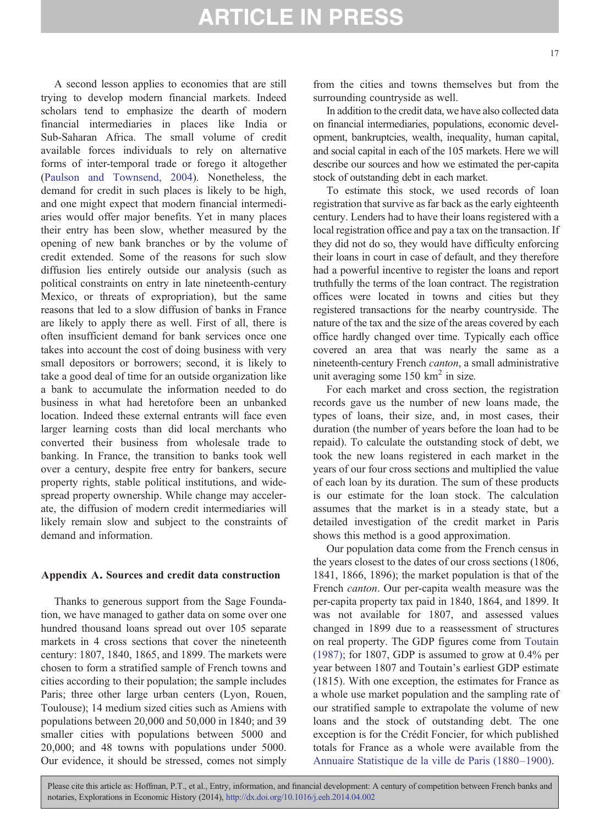<span id="page-16-0"></span>A second lesson applies to economies that are still trying to develop modern financial markets. Indeed scholars tend to emphasize the dearth of modern financial intermediaries in places like India or Sub-Saharan Africa. The small volume of credit available forces individuals to rely on alternative forms of inter-temporal trade or forego it altogether [\(Paulson and Townsend, 2004](#page-17-0)). Nonetheless, the demand for credit in such places is likely to be high, and one might expect that modern financial intermediaries would offer major benefits. Yet in many places their entry has been slow, whether measured by the opening of new bank branches or by the volume of credit extended. Some of the reasons for such slow diffusion lies entirely outside our analysis (such as political constraints on entry in late nineteenth-century Mexico, or threats of expropriation), but the same reasons that led to a slow diffusion of banks in France are likely to apply there as well. First of all, there is often insufficient demand for bank services once one takes into account the cost of doing business with very small depositors or borrowers; second, it is likely to take a good deal of time for an outside organization like a bank to accumulate the information needed to do business in what had heretofore been an unbanked location. Indeed these external entrants will face even larger learning costs than did local merchants who converted their business from wholesale trade to banking. In France, the transition to banks took well over a century, despite free entry for bankers, secure property rights, stable political institutions, and widespread property ownership. While change may accelerate, the diffusion of modern credit intermediaries will likely remain slow and subject to the constraints of demand and information.

### Appendix A. Sources and credit data construction

Thanks to generous support from the Sage Foundation, we have managed to gather data on some over one hundred thousand loans spread out over 105 separate markets in 4 cross sections that cover the nineteenth century: 1807, 1840, 1865, and 1899. The markets were chosen to form a stratified sample of French towns and cities according to their population; the sample includes Paris; three other large urban centers (Lyon, Rouen, Toulouse); 14 medium sized cities such as Amiens with populations between 20,000 and 50,000 in 1840; and 39 smaller cities with populations between 5000 and 20,000; and 48 towns with populations under 5000. Our evidence, it should be stressed, comes not simply from the cities and towns themselves but from the surrounding countryside as well.

In addition to the credit data, we have also collected data on financial intermediaries, populations, economic development, bankruptcies, wealth, inequality, human capital, and social capital in each of the 105 markets. Here we will describe our sources and how we estimated the per-capita stock of outstanding debt in each market.

To estimate this stock, we used records of loan registration that survive as far back as the early eighteenth century. Lenders had to have their loans registered with a local registration office and pay a tax on the transaction. If they did not do so, they would have difficulty enforcing their loans in court in case of default, and they therefore had a powerful incentive to register the loans and report truthfully the terms of the loan contract. The registration offices were located in towns and cities but they registered transactions for the nearby countryside. The nature of the tax and the size of the areas covered by each office hardly changed over time. Typically each office covered an area that was nearly the same as a nineteenth-century French canton, a small administrative unit averaging some  $150 \text{ km}^2$  in size.

For each market and cross section, the registration records gave us the number of new loans made, the types of loans, their size, and, in most cases, their duration (the number of years before the loan had to be repaid). To calculate the outstanding stock of debt, we took the new loans registered in each market in the years of our four cross sections and multiplied the value of each loan by its duration. The sum of these products is our estimate for the loan stock. The calculation assumes that the market is in a steady state, but a detailed investigation of the credit market in Paris shows this method is a good approximation.

Our population data come from the French census in the years closest to the dates of our cross sections (1806, 1841, 1866, 1896); the market population is that of the French canton. Our per-capita wealth measure was the per-capita property tax paid in 1840, 1864, and 1899. It was not available for 1807, and assessed values changed in 1899 due to a reassessment of structures on real property. The GDP figures come from [Toutain](#page-18-0) [\(1987\)](#page-18-0); for 1807, GDP is assumed to grow at 0.4% per year between 1807 and Toutain's earliest GDP estimate (1815). With one exception, the estimates for France as a whole use market population and the sampling rate of our stratified sample to extrapolate the volume of new loans and the stock of outstanding debt. The one exception is for the Crédit Foncier, for which published totals for France as a whole were available from the [Annuaire Statistique de la ville de Paris \(1880](#page-17-0)–1900).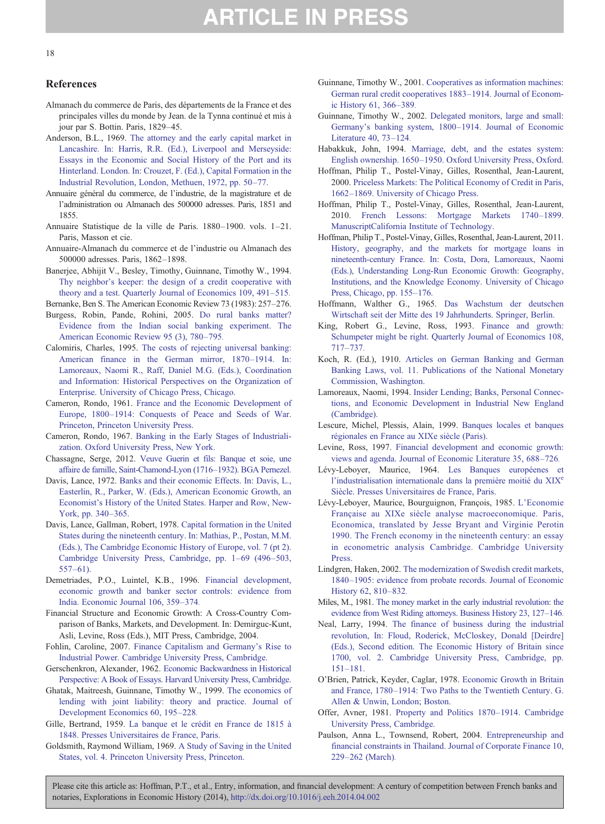#### <span id="page-17-0"></span>18

#### References

- Almanach du commerce de Paris, des départements de la France et des principales villes du monde by Jean. de la Tynna continué et mis à jour par S. Bottin. Paris, 1829–45.
- Anderson, B.L., 1969. [The attorney and the early capital market in](http://refhub.elsevier.com/S0014-4983(14)00017-5/rf0160) [Lancashire. In: Harris, R.R. \(Ed.\), Liverpool and Merseyside:](http://refhub.elsevier.com/S0014-4983(14)00017-5/rf0160) [Essays in the Economic and Social History of the Port and its](http://refhub.elsevier.com/S0014-4983(14)00017-5/rf0160) [Hinterland. London. In: Crouzet, F. \(Ed.\), Capital Formation in the](http://refhub.elsevier.com/S0014-4983(14)00017-5/rf0160) [Industrial Revolution, London, Methuen, 1972, pp. 50](http://refhub.elsevier.com/S0014-4983(14)00017-5/rf0160)–77.
- Annuaire général du commerce, de l'industrie, de la magistrature et de l'administration ou Almanach des 500000 adresses. Paris, 1851 and 1855.
- Annuaire Statistique de la ville de Paris. 1880–1900. vols. 1–21. Paris, Masson et cie.
- Annuaire-Almanach du commerce et de l'industrie ou Almanach des 500000 adresses. Paris, 1862–1898.
- Banerjee, Abhijit V., Besley, Timothy, Guinnane, Timothy W., 1994. [Thy neighbor's keeper: the design of a credit cooperative with](http://refhub.elsevier.com/S0014-4983(14)00017-5/rf0005) [theory and a test. Quarterly Journal of Economics 109, 491](http://refhub.elsevier.com/S0014-4983(14)00017-5/rf0005)–515.

Bernanke, Ben S. The American Economic Review 73 (1983): 257–276. Burgess, Robin, Pande, Rohini, 2005. [Do rural banks matter?](http://refhub.elsevier.com/S0014-4983(14)00017-5/rf0010)

- [Evidence from the Indian social banking experiment. The](http://refhub.elsevier.com/S0014-4983(14)00017-5/rf0010) [American Economic Review 95 \(3\), 780](http://refhub.elsevier.com/S0014-4983(14)00017-5/rf0010)–795.
- Calomiris, Charles, 1995. [The costs of rejecting universal banking:](http://refhub.elsevier.com/S0014-4983(14)00017-5/rf0165) [American finance in the German mirror, 1870](http://refhub.elsevier.com/S0014-4983(14)00017-5/rf0165)–1914. In: [Lamoreaux, Naomi R., Raff, Daniel M.G. \(Eds.\), Coordination](http://refhub.elsevier.com/S0014-4983(14)00017-5/rf0165) [and Information: Historical Perspectives on the Organization of](http://refhub.elsevier.com/S0014-4983(14)00017-5/rf0165) [Enterprise. University of Chicago Press, Chicago](http://refhub.elsevier.com/S0014-4983(14)00017-5/rf0165).
- Cameron, Rondo, 1961. [France and the Economic Development of](http://refhub.elsevier.com/S0014-4983(14)00017-5/rf9120) Europe, 1800–[1914: Conquests of Peace and Seeds of War.](http://refhub.elsevier.com/S0014-4983(14)00017-5/rf9120) [Princeton, Princeton University Press](http://refhub.elsevier.com/S0014-4983(14)00017-5/rf9120).
- Cameron, Rondo, 1967. [Banking in the Early Stages of Industriali](http://refhub.elsevier.com/S0014-4983(14)00017-5/rf0020)[zation. Oxford University Press, New York.](http://refhub.elsevier.com/S0014-4983(14)00017-5/rf0020)
- Chassagne, Serge, 2012. [Veuve Guerin et fils: Banque et soie, une](http://refhub.elsevier.com/S0014-4983(14)00017-5/rf0025) [affaire de famille, Saint-Chamond-Lyon \(1716](http://refhub.elsevier.com/S0014-4983(14)00017-5/rf0025)–1932). BGA Pernezel.
- Davis, Lance, 1972. [Banks and their economic Effects. In: Davis, L.,](http://refhub.elsevier.com/S0014-4983(14)00017-5/rf0030) [Easterlin, R., Parker, W. \(Eds.\), American Economic Growth, an](http://refhub.elsevier.com/S0014-4983(14)00017-5/rf0030) [Economist's History of the United States. Harper and Row, New-](http://refhub.elsevier.com/S0014-4983(14)00017-5/rf0030)[York, pp. 340](http://refhub.elsevier.com/S0014-4983(14)00017-5/rf0030)–365.
- Davis, Lance, Gallman, Robert, 1978. [Capital formation in the United](http://refhub.elsevier.com/S0014-4983(14)00017-5/rf0230) [States during the nineteenth century. In: Mathias, P., Postan, M.M.](http://refhub.elsevier.com/S0014-4983(14)00017-5/rf0230) [\(Eds.\), The Cambridge Economic History of Europe, vol. 7 \(pt 2\).](http://refhub.elsevier.com/S0014-4983(14)00017-5/rf0230) [Cambridge University Press, Cambridge, pp. 1](http://refhub.elsevier.com/S0014-4983(14)00017-5/rf0230)–69 (496–503, [557](http://refhub.elsevier.com/S0014-4983(14)00017-5/rf0230)–61).
- Demetriades, P.O., Luintel, K.B., 1996. [Financial development,](http://refhub.elsevier.com/S0014-4983(14)00017-5/rf0035) [economic growth and banker sector controls: evidence from](http://refhub.elsevier.com/S0014-4983(14)00017-5/rf0035) [India. Economic Journal 106, 359](http://refhub.elsevier.com/S0014-4983(14)00017-5/rf0035)–374.
- Financial Structure and Economic Growth: A Cross-Country Comparison of Banks, Markets, and Development. In: Demirguc-Kunt, Asli, Levine, Ross (Eds.), MIT Press, Cambridge, 2004.
- Fohlin, Caroline, 2007. [Finance Capitalism and Germany's Rise to](http://refhub.elsevier.com/S0014-4983(14)00017-5/rf0180) [Industrial Power. Cambridge University Press, Cambridge](http://refhub.elsevier.com/S0014-4983(14)00017-5/rf0180).
- Gerschenkron, Alexander, 1962. [Economic Backwardness in Historical](http://refhub.elsevier.com/S0014-4983(14)00017-5/rf0185) [Perspective: A Book of Essays. Harvard University Press, Cambridge](http://refhub.elsevier.com/S0014-4983(14)00017-5/rf0185).
- Ghatak, Maitreesh, Guinnane, Timothy W., 1999. [The economics of](http://refhub.elsevier.com/S0014-4983(14)00017-5/rf0040) [lending with joint liability: theory and practice. Journal of](http://refhub.elsevier.com/S0014-4983(14)00017-5/rf0040) [Development Economics 60, 195](http://refhub.elsevier.com/S0014-4983(14)00017-5/rf0040)–228.
- Gille, Bertrand, 1959. [La banque et le crédit en France de 1815 à](http://refhub.elsevier.com/S0014-4983(14)00017-5/rf0190) [1848. Presses Universitaires de France, Paris](http://refhub.elsevier.com/S0014-4983(14)00017-5/rf0190).
- Goldsmith, Raymond William, 1969. [A Study of Saving in the United](http://refhub.elsevier.com/S0014-4983(14)00017-5/rf0045) [States, vol. 4. Princeton University Press, Princeton](http://refhub.elsevier.com/S0014-4983(14)00017-5/rf0045).
- Guinnane, Timothy W., 2001. [Cooperatives as information machines:](http://refhub.elsevier.com/S0014-4983(14)00017-5/rf0050) [German rural credit cooperatives 1883](http://refhub.elsevier.com/S0014-4983(14)00017-5/rf0050)–1914. Journal of Econom[ic History 61, 366](http://refhub.elsevier.com/S0014-4983(14)00017-5/rf0050)–389.
- Guinnane, Timothy W., 2002. [Delegated monitors, large and small:](http://refhub.elsevier.com/S0014-4983(14)00017-5/rf0055) [Germany's banking system, 1800](http://refhub.elsevier.com/S0014-4983(14)00017-5/rf0055)–1914. Journal of Economic [Literature 40, 73](http://refhub.elsevier.com/S0014-4983(14)00017-5/rf0055)–124.
- Habakkuk, John, 1994. [Marriage, debt, and the estates system:](http://refhub.elsevier.com/S0014-4983(14)00017-5/rf0195) English ownership. 1650–[1950. Oxford University Press, Oxford](http://refhub.elsevier.com/S0014-4983(14)00017-5/rf0195).
- Hoffman, Philip T., Postel-Vinay, Gilles, Rosenthal, Jean-Laurent, 2000. [Priceless Markets: The Political Economy of Credit in Paris,](http://refhub.elsevier.com/S0014-4983(14)00017-5/rf0200) 1662–[1869. University of Chicago Press.](http://refhub.elsevier.com/S0014-4983(14)00017-5/rf0200)
- Hoffman, Philip T., Postel-Vinay, Gilles, Rosenthal, Jean-Laurent, 2010. [French Lessons: Mortgage Markets 1740](http://refhub.elsevier.com/S0014-4983(14)00017-5/rf0210)–1899. [ManuscriptCalifornia Institute of Technology](http://refhub.elsevier.com/S0014-4983(14)00017-5/rf0210).
- Hoffman, Philip T., Postel-Vinay, Gilles, Rosenthal, Jean-Laurent, 2011. [History, geography, and the markets for mortgage loans in](http://refhub.elsevier.com/S0014-4983(14)00017-5/rf0215) [nineteenth-century France. In: Costa, Dora, Lamoreaux, Naomi](http://refhub.elsevier.com/S0014-4983(14)00017-5/rf0215) [\(Eds.\), Understanding Long-Run Economic Growth: Geography,](http://refhub.elsevier.com/S0014-4983(14)00017-5/rf0215) [Institutions, and the Knowledge Economy. University of Chicago](http://refhub.elsevier.com/S0014-4983(14)00017-5/rf0215) [Press, Chicago, pp. 155](http://refhub.elsevier.com/S0014-4983(14)00017-5/rf0215)–176.
- Hoffmann, Walther G., 1965. [Das Wachstum der deutschen](http://refhub.elsevier.com/S0014-4983(14)00017-5/rf0070) [Wirtschaft seit der Mitte des 19 Jahrhunderts. Springer, Berlin.](http://refhub.elsevier.com/S0014-4983(14)00017-5/rf0070)
- King, Robert G., Levine, Ross, 1993. [Finance and growth:](http://refhub.elsevier.com/S0014-4983(14)00017-5/rf0075) [Schumpeter might be right. Quarterly Journal of Economics 108,](http://refhub.elsevier.com/S0014-4983(14)00017-5/rf0075) 717–[737.](http://refhub.elsevier.com/S0014-4983(14)00017-5/rf0075)
- Koch, R. (Ed.), 1910. [Articles on German Banking and German](http://refhub.elsevier.com/S0014-4983(14)00017-5/rf0220) [Banking Laws, vol. 11. Publications of the National Monetary](http://refhub.elsevier.com/S0014-4983(14)00017-5/rf0220) [Commission, Washington.](http://refhub.elsevier.com/S0014-4983(14)00017-5/rf0220)
- Lamoreaux, Naomi, 1994. [Insider Lending; Banks, Personal Connec](http://refhub.elsevier.com/S0014-4983(14)00017-5/rf0225)[tions, and Economic Development in Industrial New England](http://refhub.elsevier.com/S0014-4983(14)00017-5/rf0225) [\(Cambridge\)](http://refhub.elsevier.com/S0014-4983(14)00017-5/rf0225).
- Lescure, Michel, Plessis, Alain, 1999. [Banques locales et banques](http://refhub.elsevier.com/S0014-4983(14)00017-5/rf0235) [régionales en France au XIXe siècle \(Paris\)](http://refhub.elsevier.com/S0014-4983(14)00017-5/rf0235).
- Levine, Ross, 1997. [Financial development and economic growth:](http://refhub.elsevier.com/S0014-4983(14)00017-5/rf0085) [views and agenda. Journal of Economic Literature 35, 688](http://refhub.elsevier.com/S0014-4983(14)00017-5/rf0085)–726.
- Lévy-Leboyer, Maurice, 1964. [Les Banques européenes et](http://refhub.elsevier.com/S0014-4983(14)00017-5/rf0240) l'industrialisation internationale dans la première moitié du XIX<sup>e</sup> [Siècle. Presses Universitaires de France, Paris.](http://refhub.elsevier.com/S0014-4983(14)00017-5/rf0240)
- Lévy-Leboyer, Maurice, Bourguignon, François, 1985. [L'Economie](http://refhub.elsevier.com/S0014-4983(14)00017-5/rf0245) [Française au XIXe siècle analyse macroeconomique. Paris,](http://refhub.elsevier.com/S0014-4983(14)00017-5/rf0245) [Economica, translated by Jesse Bryant and Virginie Perotin](http://refhub.elsevier.com/S0014-4983(14)00017-5/rf0245) [1990. The French economy in the nineteenth century: an essay](http://refhub.elsevier.com/S0014-4983(14)00017-5/rf0245) [in econometric analysis Cambridge. Cambridge University](http://refhub.elsevier.com/S0014-4983(14)00017-5/rf0245) [Press.](http://refhub.elsevier.com/S0014-4983(14)00017-5/rf0245)
- Lindgren, Haken, 2002. [The modernization of Swedish credit markets,](http://refhub.elsevier.com/S0014-4983(14)00017-5/rf0090) 1840–[1905: evidence from probate records. Journal of Economic](http://refhub.elsevier.com/S0014-4983(14)00017-5/rf0090) [History 62, 810](http://refhub.elsevier.com/S0014-4983(14)00017-5/rf0090)–832.
- Miles, M., 1981. [The money market in the early industrial revolution: the](http://refhub.elsevier.com/S0014-4983(14)00017-5/rf0095) [evidence from West Riding attorneys. Business History 23, 127](http://refhub.elsevier.com/S0014-4983(14)00017-5/rf0095)–146.
- Neal, Larry, 1994. [The finance of business during the industrial](http://refhub.elsevier.com/S0014-4983(14)00017-5/rf0250) [revolution, In: Floud, Roderick, McCloskey, Donald \[Deirdre\]](http://refhub.elsevier.com/S0014-4983(14)00017-5/rf0250) [\(Eds.\), Second edition. The Economic History of Britain since](http://refhub.elsevier.com/S0014-4983(14)00017-5/rf0250) [1700, vol. 2. Cambridge University Press, Cambridge, pp.](http://refhub.elsevier.com/S0014-4983(14)00017-5/rf0250) 151–[181.](http://refhub.elsevier.com/S0014-4983(14)00017-5/rf0250)
- O'Brien, Patrick, Keyder, Caglar, 1978. [Economic Growth in Britain](http://refhub.elsevier.com/S0014-4983(14)00017-5/rf0255) and France, 1780–[1914: Two Paths to the Twentieth Century. G.](http://refhub.elsevier.com/S0014-4983(14)00017-5/rf0255) [Allen & Unwin, London; Boston](http://refhub.elsevier.com/S0014-4983(14)00017-5/rf0255).
- Offer, Avner, 1981. [Property and Politics 1870](http://refhub.elsevier.com/S0014-4983(14)00017-5/rf0260)–1914. Cambridge [University Press, Cambridge.](http://refhub.elsevier.com/S0014-4983(14)00017-5/rf0260)
- Paulson, Anna L., Townsend, Robert, 2004. [Entrepreneurship and](http://refhub.elsevier.com/S0014-4983(14)00017-5/rf0100) [financial constraints in Thailand. Journal of Corporate Finance 10,](http://refhub.elsevier.com/S0014-4983(14)00017-5/rf0100) 229–[262 \(March\).](http://refhub.elsevier.com/S0014-4983(14)00017-5/rf0100)